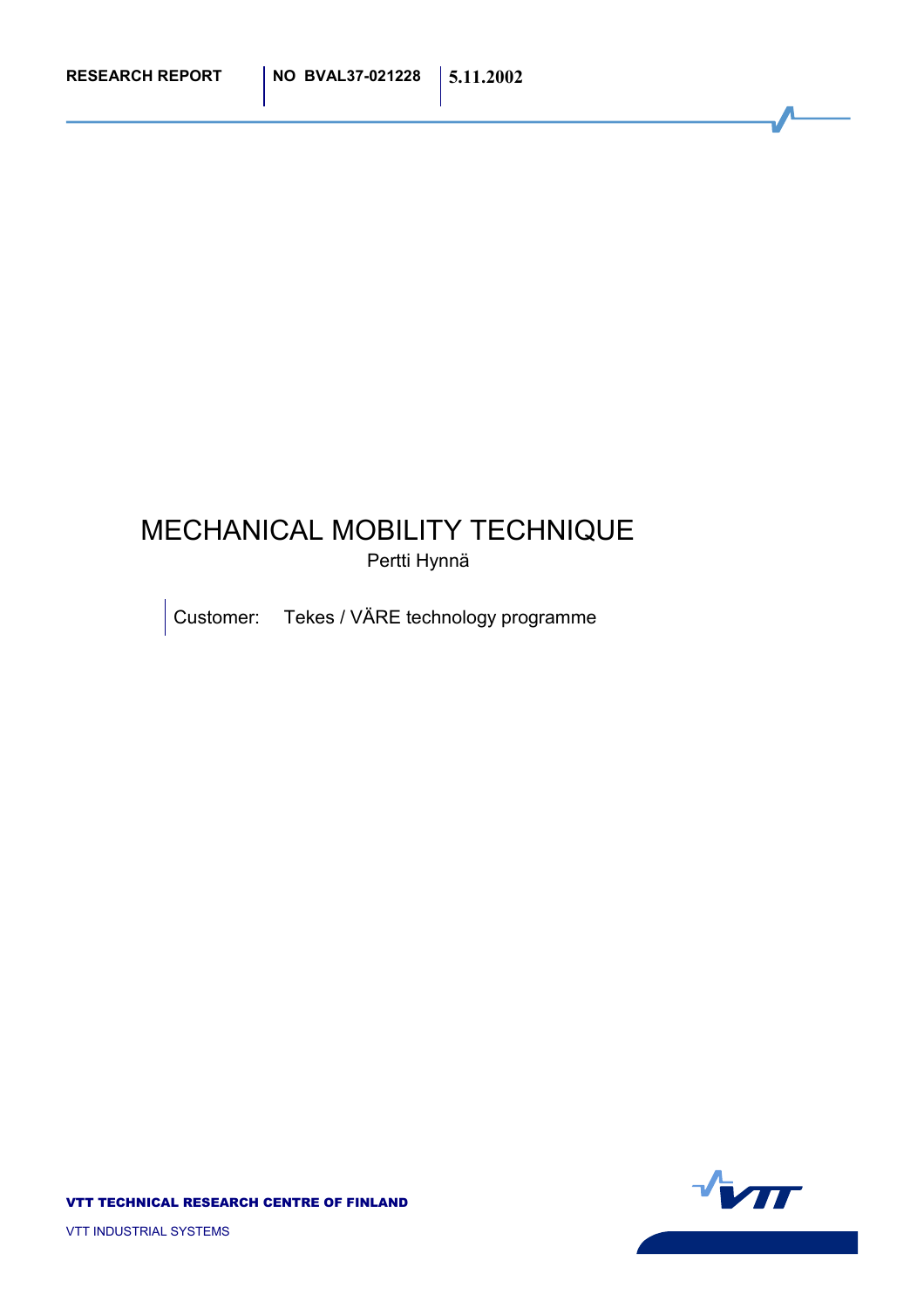#### MECHANICAL MOBILITY TECHNIQUE Pertti Hynnä

Customer: Tekes / VÄRE technology programme

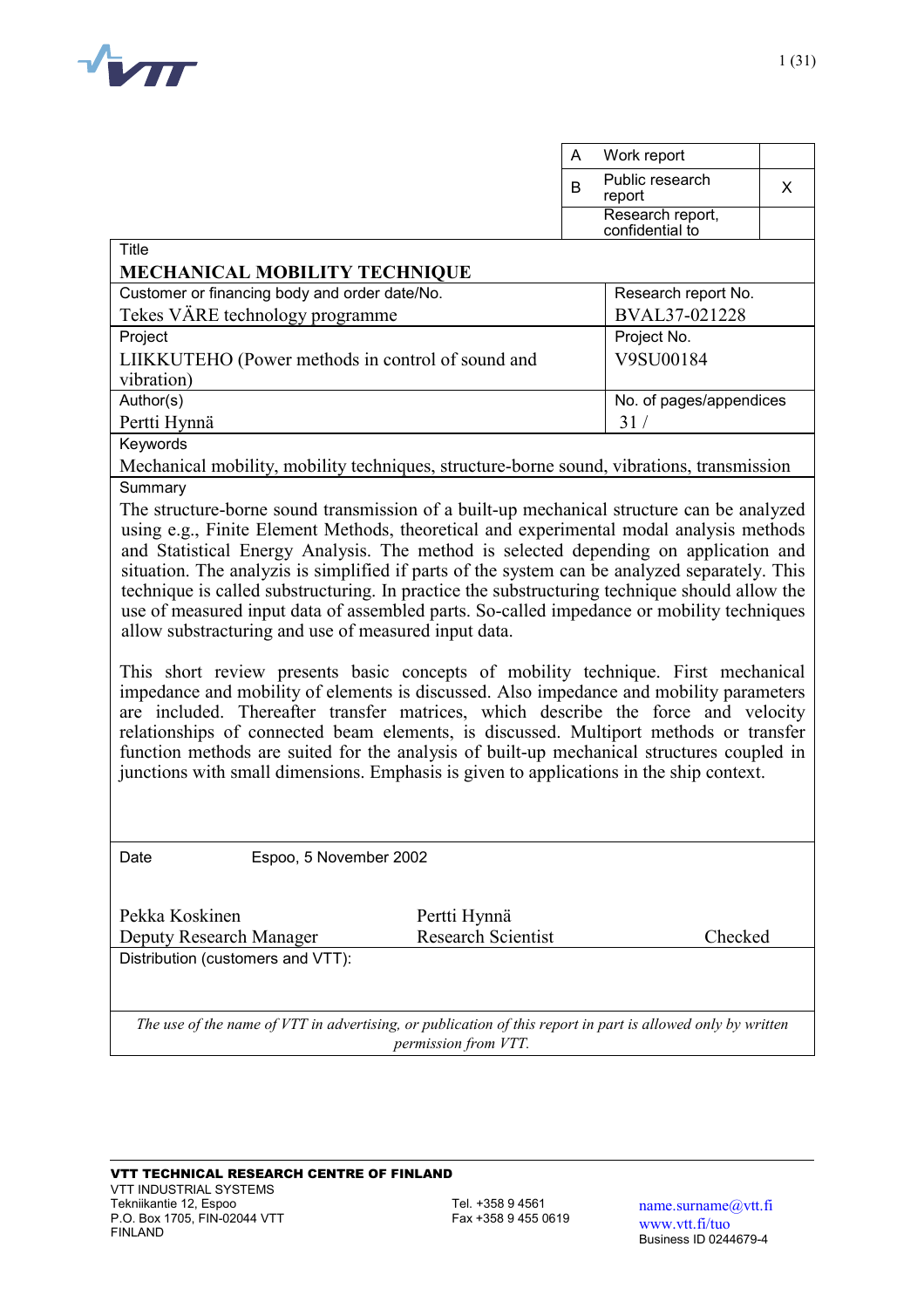

|                                                                                                                                                                                       | Work report<br>A        |  |  |  |  |
|---------------------------------------------------------------------------------------------------------------------------------------------------------------------------------------|-------------------------|--|--|--|--|
|                                                                                                                                                                                       | Public research         |  |  |  |  |
|                                                                                                                                                                                       | B<br>X<br>report        |  |  |  |  |
|                                                                                                                                                                                       | Research report,        |  |  |  |  |
| Title                                                                                                                                                                                 | confidential to         |  |  |  |  |
| <b>MECHANICAL MOBILITY TECHNIQUE</b>                                                                                                                                                  |                         |  |  |  |  |
| Customer or financing body and order date/No.                                                                                                                                         | Research report No.     |  |  |  |  |
| Tekes VÄRE technology programme                                                                                                                                                       | BVAL37-021228           |  |  |  |  |
| Project                                                                                                                                                                               | Project No.             |  |  |  |  |
| LIIKKUTEHO (Power methods in control of sound and                                                                                                                                     | V9SU00184               |  |  |  |  |
| vibration)                                                                                                                                                                            |                         |  |  |  |  |
| Author(s)                                                                                                                                                                             | No. of pages/appendices |  |  |  |  |
| Pertti Hynnä                                                                                                                                                                          | 31/                     |  |  |  |  |
| Keywords                                                                                                                                                                              |                         |  |  |  |  |
| Mechanical mobility, mobility techniques, structure-borne sound, vibrations, transmission                                                                                             |                         |  |  |  |  |
| Summary                                                                                                                                                                               |                         |  |  |  |  |
| The structure-borne sound transmission of a built-up mechanical structure can be analyzed                                                                                             |                         |  |  |  |  |
| using e.g., Finite Element Methods, theoretical and experimental modal analysis methods                                                                                               |                         |  |  |  |  |
| and Statistical Energy Analysis. The method is selected depending on application and<br>situation. The analyzis is simplified if parts of the system can be analyzed separately. This |                         |  |  |  |  |
| technique is called substructuring. In practice the substructuring technique should allow the                                                                                         |                         |  |  |  |  |
| use of measured input data of assembled parts. So-called impedance or mobility techniques                                                                                             |                         |  |  |  |  |
| allow substracturing and use of measured input data.                                                                                                                                  |                         |  |  |  |  |
|                                                                                                                                                                                       |                         |  |  |  |  |
| This short review presents basic concepts of mobility technique. First mechanical                                                                                                     |                         |  |  |  |  |
| impedance and mobility of elements is discussed. Also impedance and mobility parameters                                                                                               |                         |  |  |  |  |
| are included. Thereafter transfer matrices, which describe the force and velocity                                                                                                     |                         |  |  |  |  |
| relationships of connected beam elements, is discussed. Multiport methods or transfer                                                                                                 |                         |  |  |  |  |
| function methods are suited for the analysis of built-up mechanical structures coupled in                                                                                             |                         |  |  |  |  |
| junctions with small dimensions. Emphasis is given to applications in the ship context.                                                                                               |                         |  |  |  |  |
|                                                                                                                                                                                       |                         |  |  |  |  |
|                                                                                                                                                                                       |                         |  |  |  |  |
| Espoo, 5 November 2002<br>Date                                                                                                                                                        |                         |  |  |  |  |
|                                                                                                                                                                                       |                         |  |  |  |  |
|                                                                                                                                                                                       |                         |  |  |  |  |
| Pekka Koskinen<br>Pertti Hynnä                                                                                                                                                        |                         |  |  |  |  |
| <b>Research Scientist</b><br>Deputy Research Manager                                                                                                                                  | Checked                 |  |  |  |  |
| Distribution (customers and VTT):                                                                                                                                                     |                         |  |  |  |  |
|                                                                                                                                                                                       |                         |  |  |  |  |
|                                                                                                                                                                                       |                         |  |  |  |  |
| The use of the name of VTT in advertising, or publication of this report in part is allowed only by written                                                                           |                         |  |  |  |  |
| permission from VTT.                                                                                                                                                                  |                         |  |  |  |  |

1 (31)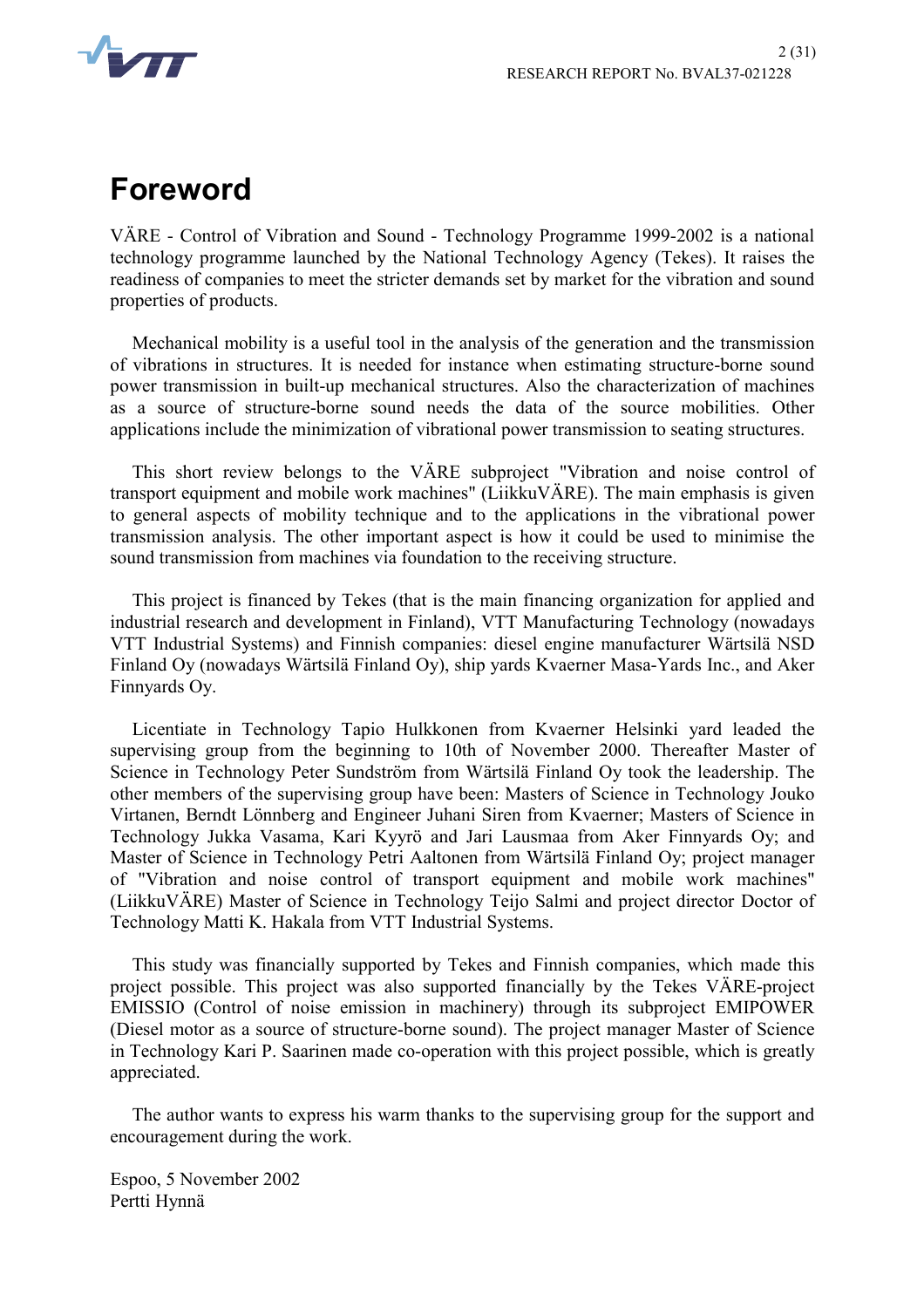

## **Foreword**

VÄRE - Control of Vibration and Sound - Technology Programme 1999-2002 is a national technology programme launched by the National Technology Agency (Tekes). It raises the readiness of companies to meet the stricter demands set by market for the vibration and sound properties of products.

Mechanical mobility is a useful tool in the analysis of the generation and the transmission of vibrations in structures. It is needed for instance when estimating structure-borne sound power transmission in built-up mechanical structures. Also the characterization of machines as a source of structure-borne sound needs the data of the source mobilities. Other applications include the minimization of vibrational power transmission to seating structures.

This short review belongs to the VÄRE subproject "Vibration and noise control of transport equipment and mobile work machines" (LiikkuVÄRE). The main emphasis is given to general aspects of mobility technique and to the applications in the vibrational power transmission analysis. The other important aspect is how it could be used to minimise the sound transmission from machines via foundation to the receiving structure.

This project is financed by Tekes (that is the main financing organization for applied and industrial research and development in Finland), VTT Manufacturing Technology (nowadays VTT Industrial Systems) and Finnish companies: diesel engine manufacturer Wärtsilä NSD Finland Oy (nowadays Wärtsilä Finland Oy), ship yards Kvaerner Masa-Yards Inc., and Aker Finnyards Oy.

Licentiate in Technology Tapio Hulkkonen from Kvaerner Helsinki yard leaded the supervising group from the beginning to 10th of November 2000. Thereafter Master of Science in Technology Peter Sundström from Wärtsilä Finland Oy took the leadership. The other members of the supervising group have been: Masters of Science in Technology Jouko Virtanen, Berndt Lönnberg and Engineer Juhani Siren from Kvaerner; Masters of Science in Technology Jukka Vasama, Kari Kyyrö and Jari Lausmaa from Aker Finnyards Oy; and Master of Science in Technology Petri Aaltonen from Wärtsilä Finland Oy; project manager of "Vibration and noise control of transport equipment and mobile work machines" (LiikkuVÄRE) Master of Science in Technology Teijo Salmi and project director Doctor of Technology Matti K. Hakala from VTT Industrial Systems.

This study was financially supported by Tekes and Finnish companies, which made this project possible. This project was also supported financially by the Tekes VÄRE-project EMISSIO (Control of noise emission in machinery) through its subproject EMIPOWER (Diesel motor as a source of structure-borne sound). The project manager Master of Science in Technology Kari P. Saarinen made co-operation with this project possible, which is greatly appreciated.

The author wants to express his warm thanks to the supervising group for the support and encouragement during the work.

Espoo, 5 November 2002 Pertti Hynnä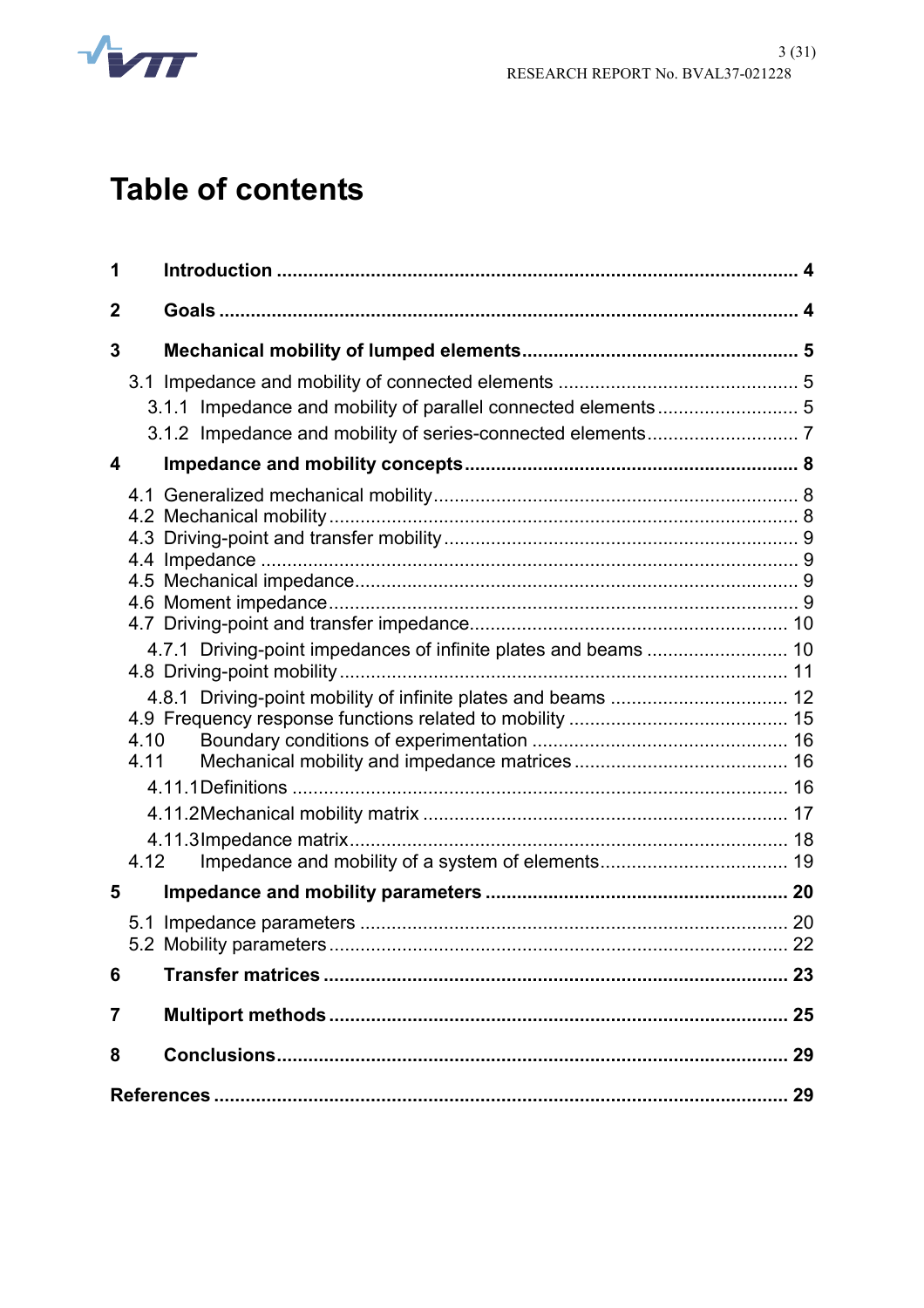

# **Table of contents**

| 1            |      |    |
|--------------|------|----|
| $\mathbf{2}$ |      |    |
| 3            |      |    |
|              |      |    |
|              |      |    |
|              |      |    |
| 4            |      |    |
|              |      |    |
|              |      |    |
|              |      |    |
|              |      |    |
|              |      |    |
|              |      |    |
|              |      |    |
|              | 4.10 |    |
|              | 4.11 |    |
|              |      |    |
|              |      |    |
|              | 4.12 |    |
| 5            |      |    |
|              |      |    |
|              |      |    |
| 6            |      |    |
| 7            |      | 25 |
| 8            |      |    |
|              |      | 29 |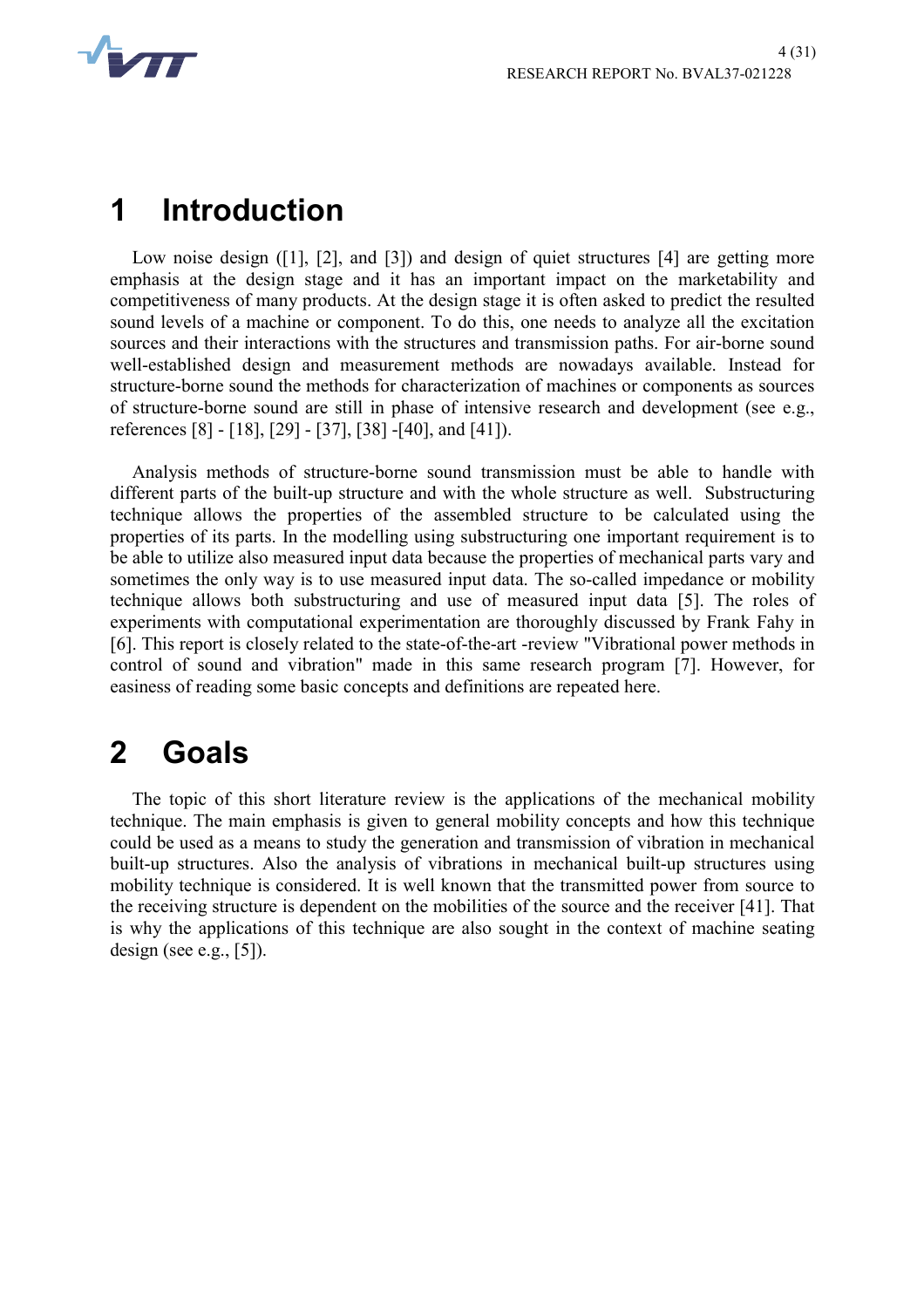

## **1 Introduction**

Low noise design ([1], [2], and [3]) and design of quiet structures [4] are getting more emphasis at the design stage and it has an important impact on the marketability and competitiveness of many products. At the design stage it is often asked to predict the resulted sound levels of a machine or component. To do this, one needs to analyze all the excitation sources and their interactions with the structures and transmission paths. For air-borne sound well-established design and measurement methods are nowadays available. Instead for structure-borne sound the methods for characterization of machines or components as sources of structure-borne sound are still in phase of intensive research and development (see e.g., references [8] - [18], [29] - [37], [38] -[40], and [41]).

Analysis methods of structure-borne sound transmission must be able to handle with different parts of the built-up structure and with the whole structure as well. Substructuring technique allows the properties of the assembled structure to be calculated using the properties of its parts. In the modelling using substructuring one important requirement is to be able to utilize also measured input data because the properties of mechanical parts vary and sometimes the only way is to use measured input data. The so-called impedance or mobility technique allows both substructuring and use of measured input data [5]. The roles of experiments with computational experimentation are thoroughly discussed by Frank Fahy in [6]. This report is closely related to the state-of-the-art -review "Vibrational power methods in control of sound and vibration" made in this same research program [7]. However, for easiness of reading some basic concepts and definitions are repeated here.

## **2 Goals**

The topic of this short literature review is the applications of the mechanical mobility technique. The main emphasis is given to general mobility concepts and how this technique could be used as a means to study the generation and transmission of vibration in mechanical built-up structures. Also the analysis of vibrations in mechanical built-up structures using mobility technique is considered. It is well known that the transmitted power from source to the receiving structure is dependent on the mobilities of the source and the receiver [41]. That is why the applications of this technique are also sought in the context of machine seating design (see e.g.,  $[5]$ ).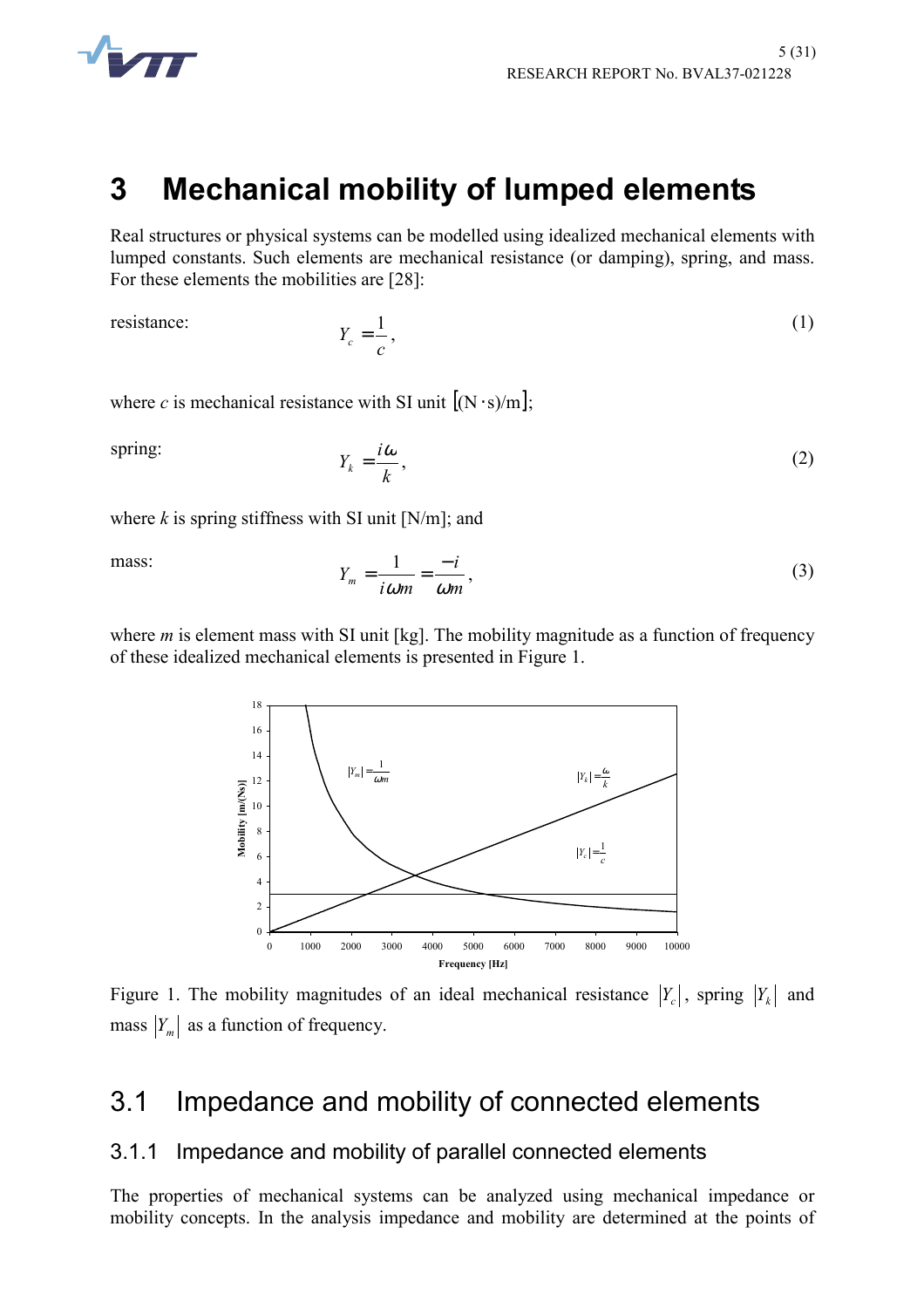

## **3 Mechanical mobility of lumped elements**

Real structures or physical systems can be modelled using idealized mechanical elements with lumped constants. Such elements are mechanical resistance (or damping), spring, and mass. For these elements the mobilities are [28]:

resistance:

$$
Y_c = \frac{1}{c},\tag{1}
$$

where *c* is mechanical resistance with SI unit  $[(N \cdot s)/m]$ ;

spring:

$$
Y_k = \frac{i\omega}{k},\tag{2}
$$

where  $k$  is spring stiffness with SI unit  $[N/m]$ ; and

mass:

$$
Y_m = \frac{1}{i\omega m} = \frac{-i}{\omega m},\tag{3}
$$

where *m* is element mass with SI unit [kg]. The mobility magnitude as a function of frequency of these idealized mechanical elements is presented in Figure 1.



Figure 1. The mobility magnitudes of an ideal mechanical resistance  $|Y_c|$ , spring  $|Y_k|$  and mass  $|Y_m|$  as a function of frequency.

### 3.1 Impedance and mobility of connected elements

#### 3.1.1 Impedance and mobility of parallel connected elements

The properties of mechanical systems can be analyzed using mechanical impedance or mobility concepts. In the analysis impedance and mobility are determined at the points of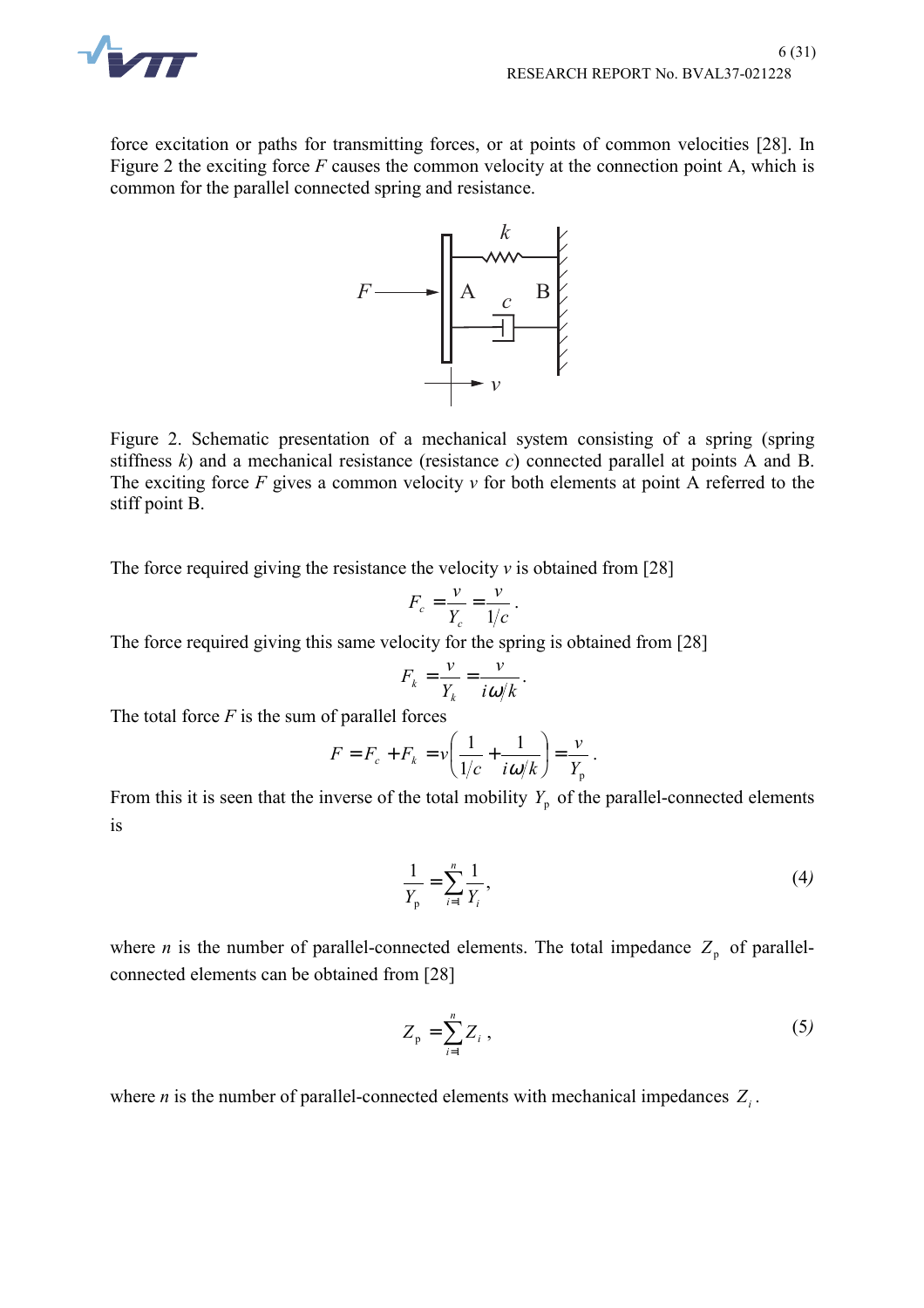

force excitation or paths for transmitting forces, or at points of common velocities [28]. In Figure 2 the exciting force *F* causes the common velocity at the connection point A, which is common for the parallel connected spring and resistance.



Figure 2. Schematic presentation of a mechanical system consisting of a spring (spring stiffness *k*) and a mechanical resistance (resistance *c*) connected parallel at points A and B. The exciting force *F* gives a common velocity *v* for both elements at point A referred to the stiff point B.

The force required giving the resistance the velocity  $\nu$  is obtained from [28]

$$
F_c = \frac{v}{Y_c} = \frac{v}{1/c}.
$$

The force required giving this same velocity for the spring is obtained from [28]

$$
F_k = \frac{v}{Y_k} = \frac{v}{i\omega/k}.
$$

The total force  $F$  is the sum of parallel forces

$$
F = F_c + F_k = v \left( \frac{1}{1/c} + \frac{1}{i\omega/k} \right) = \frac{v}{Y_p}.
$$

From this it is seen that the inverse of the total mobility  $Y_p$  of the parallel-connected elements is

$$
\frac{1}{Y_{\rm p}} = \sum_{i=1}^{n} \frac{1}{Y_i},\tag{4}
$$

where *n* is the number of parallel-connected elements. The total impedance  $Z_p$  of parallelconnected elements can be obtained from [28]

$$
Z_{\rm p} = \sum_{i=1}^{n} Z_i \,, \tag{5}
$$

where *n* is the number of parallel-connected elements with mechanical impedances  $Z_i$ .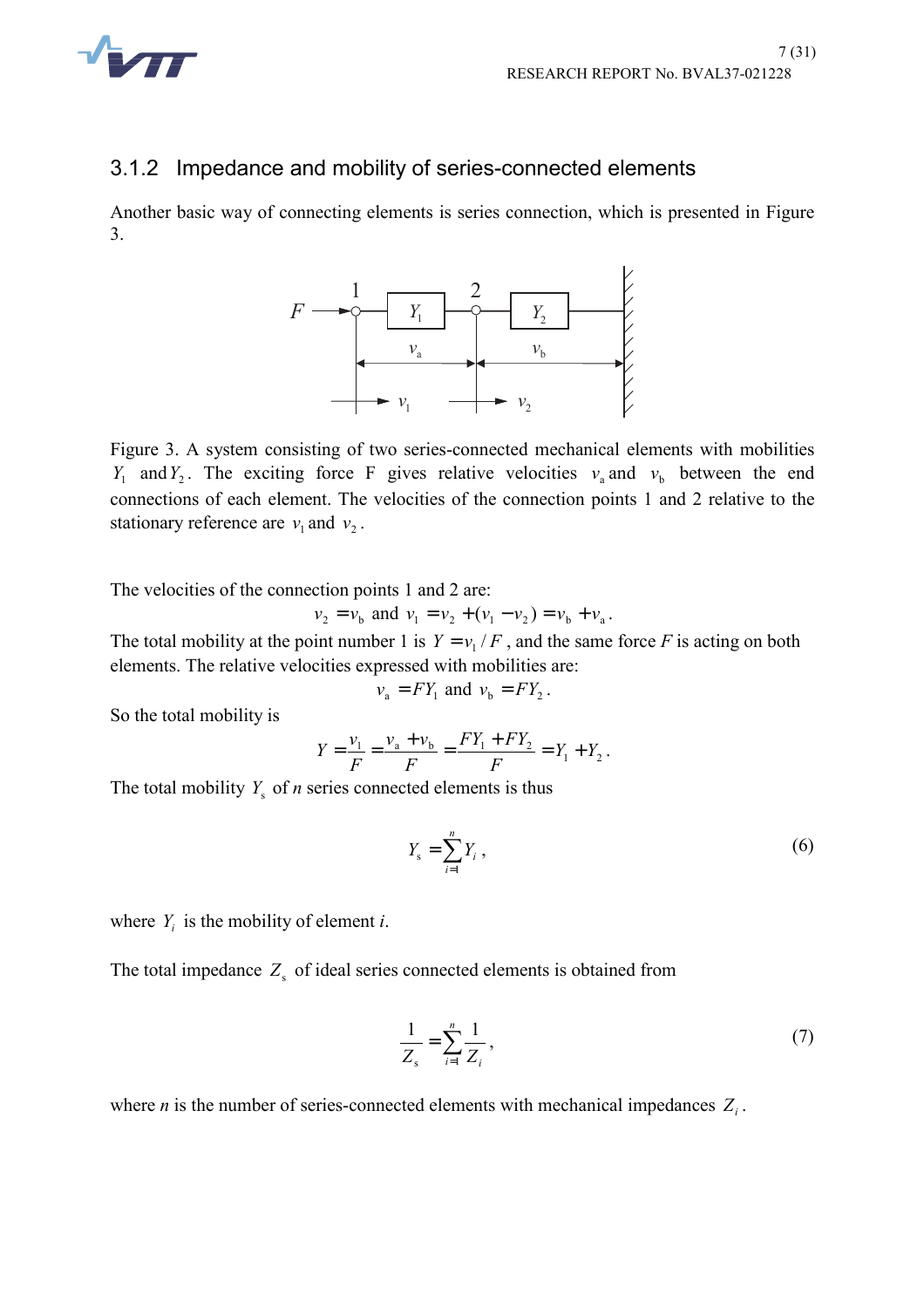

#### 3.1.2 Impedance and mobility of series-connected elements

Another basic way of connecting elements is series connection, which is presented in Figure 3.



Figure 3. A system consisting of two series-connected mechanical elements with mobilities *Y*<sub>1</sub> and *Y*<sub>2</sub>. The exciting force F gives relative velocities  $v_a$  and  $v_b$  between the end connections of each element. The velocities of the connection points 1 and 2 relative to the stationary reference are  $v_1$  and  $v_2$ .

The velocities of the connection points 1 and 2 are:

$$
v_2 = v_b
$$
 and  $v_1 = v_2 + (v_1 - v_2) = v_b + v_a$ .

The total mobility at the point number 1 is  $Y = v_1 / F$ , and the same force *F* is acting on both elements. The relative velocities expressed with mobilities are:

$$
v_a = FY_1
$$
 and  $v_b = FY_2$ .

So the total mobility is

$$
Y = \frac{v_1}{F} = \frac{v_a + v_b}{F} = \frac{FY_1 + FY_2}{F} = Y_1 + Y_2.
$$

The total mobility  $Y_s$  of *n* series connected elements is thus

$$
Y_{\rm s} = \sum_{i=1}^{n} Y_i \,, \tag{6}
$$

where  $Y_i$  is the mobility of element *i*.

The total impedance  $Z_s$  of ideal series connected elements is obtained from

$$
\frac{1}{Z_s} = \sum_{i=1}^n \frac{1}{Z_i},\tag{7}
$$

where *n* is the number of series-connected elements with mechanical impedances  $Z_i$ .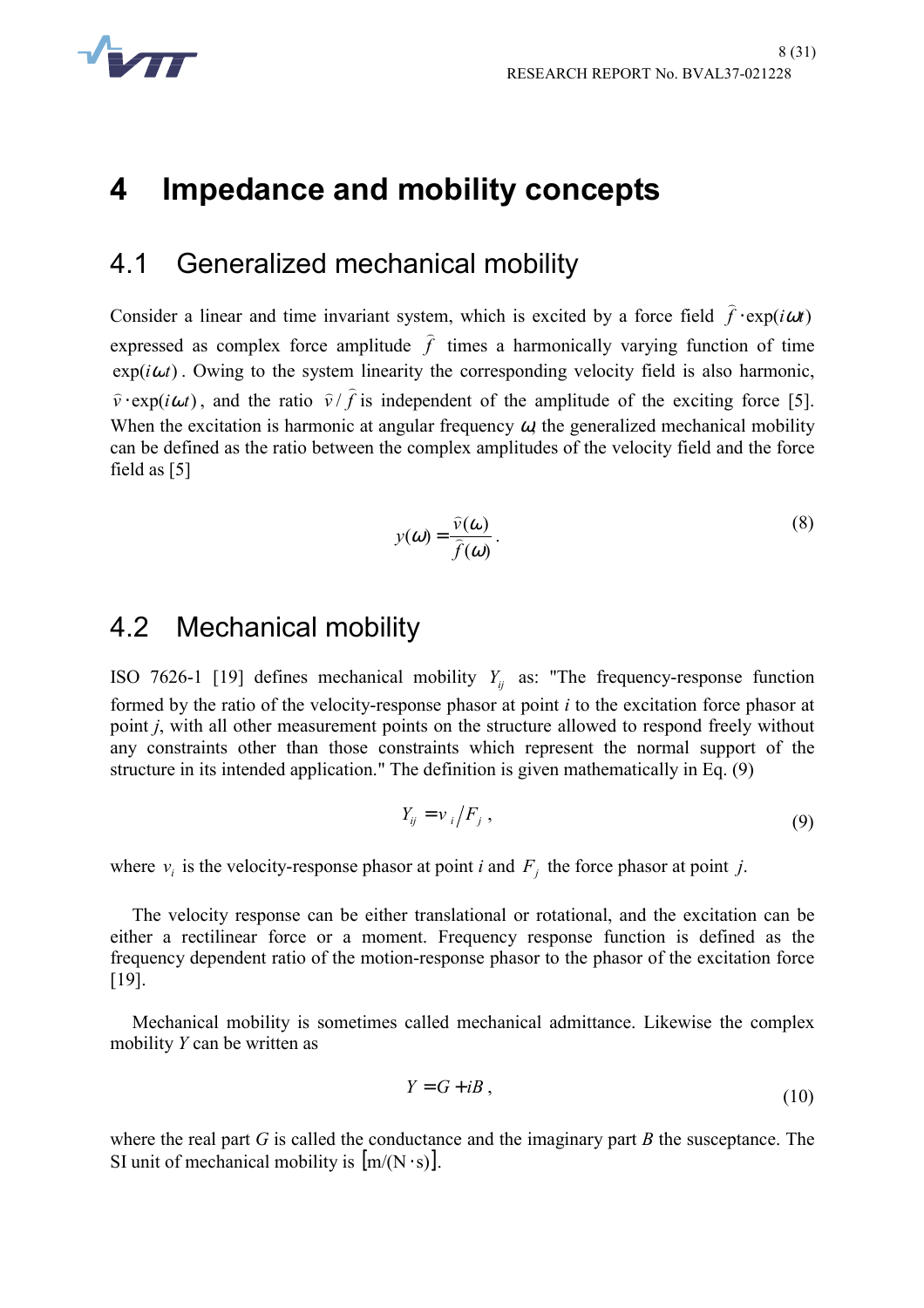

## **4 Impedance and mobility concepts**

#### 4.1 Generalized mechanical mobility

Consider a linear and time invariant system, which is excited by a force field  $\hat{f}$  ⋅ exp(*iωt*) expressed as complex force amplitude  $f$  times a harmonically varying function of time  $\exp(i\omega t)$ . Owing to the system linearity the corresponding velocity field is also harmonic,  $\hat{v} \cdot \exp(i\omega t)$ , and the ratio  $\hat{v}/\hat{f}$ If is independent of the amplitude of the exciting force [5]. When the excitation is harmonic at angular frequency  $\omega$ , the generalized mechanical mobility can be defined as the ratio between the complex amplitudes of the velocity field and the force field as [5]

$$
y(\omega) = \frac{\widehat{v}(\omega)}{\widehat{f}(\omega)}.
$$
 (8)

#### 4.2 Mechanical mobility

ISO 7626-1 [19] defines mechanical mobility  $Y_{ij}$  as: "The frequency-response function formed by the ratio of the velocity-response phasor at point *i* to the excitation force phasor at point *j*, with all other measurement points on the structure allowed to respond freely without any constraints other than those constraints which represent the normal support of the structure in its intended application." The definition is given mathematically in Eq. (9)

$$
Y_{ij} = \nu_i / F_j \tag{9}
$$

where  $v_i$  is the velocity-response phasor at point *i* and  $F_j$  the force phasor at point *j*.

The velocity response can be either translational or rotational, and the excitation can be either a rectilinear force or a moment. Frequency response function is defined as the frequency dependent ratio of the motion-response phasor to the phasor of the excitation force [19].

Mechanical mobility is sometimes called mechanical admittance. Likewise the complex mobility *Y* can be written as

$$
Y = G + iB \tag{10}
$$

where the real part *G* is called the conductance and the imaginary part *B* the susceptance. The SI unit of mechanical mobility is  $[m/(N \cdot s)]$ .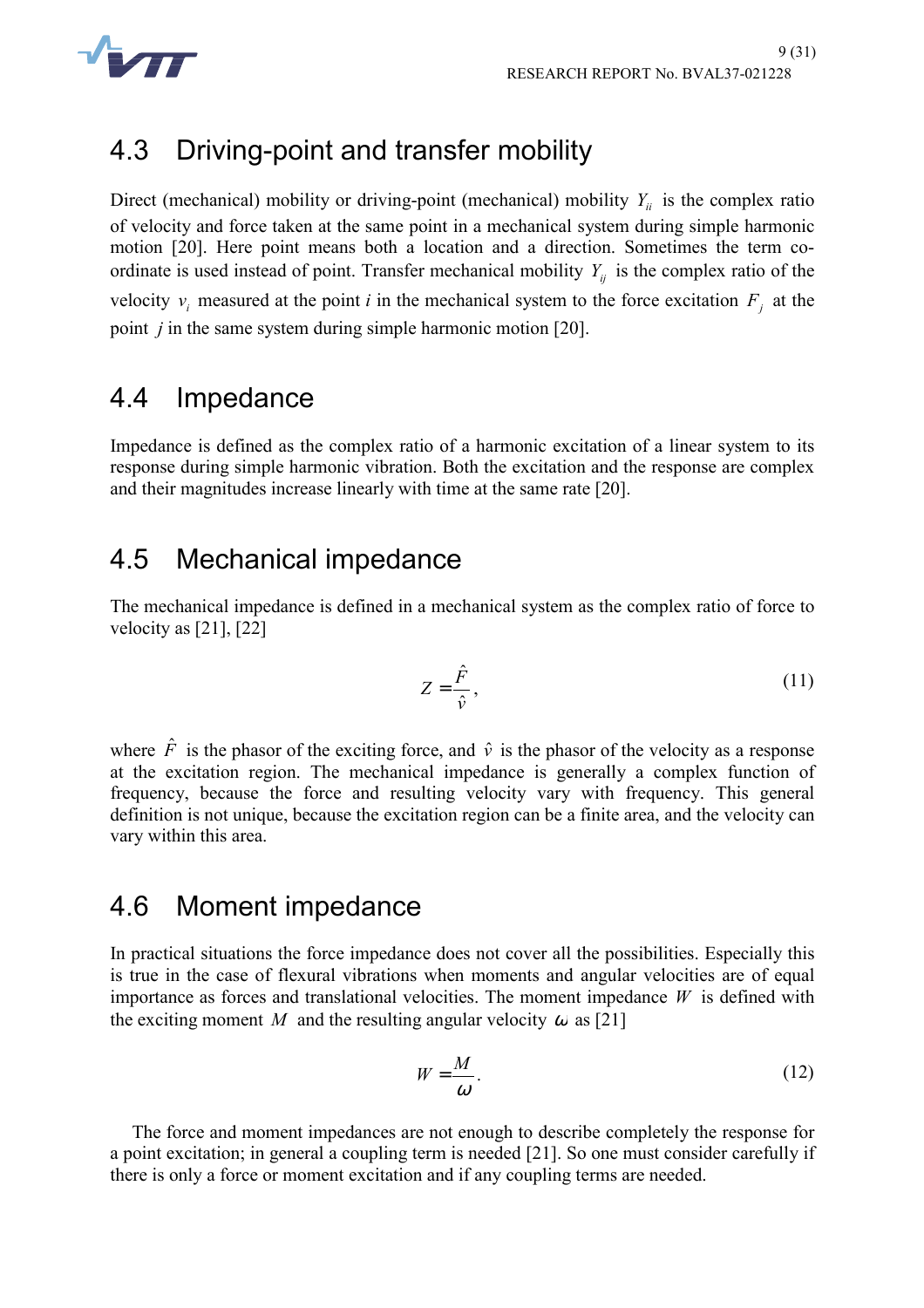

## 4.3 Driving-point and transfer mobility

Direct (mechanical) mobility or driving-point (mechanical) mobility  $Y_{ii}$  is the complex ratio of velocity and force taken at the same point in a mechanical system during simple harmonic motion [20]. Here point means both a location and a direction. Sometimes the term coordinate is used instead of point. Transfer mechanical mobility  $Y_{ii}$  is the complex ratio of the velocity  $v_i$  measured at the point *i* in the mechanical system to the force excitation  $F_i$  at the point *j* in the same system during simple harmonic motion [20].

#### 4.4 Impedance

Impedance is defined as the complex ratio of a harmonic excitation of a linear system to its response during simple harmonic vibration. Both the excitation and the response are complex and their magnitudes increase linearly with time at the same rate [20].

#### 4.5 Mechanical impedance

The mechanical impedance is defined in a mechanical system as the complex ratio of force to velocity as [21], [22]

$$
Z = \frac{\hat{F}}{\hat{v}},\tag{11}
$$

where  $\hat{F}$  is the phasor of the exciting force, and  $\hat{v}$  is the phasor of the velocity as a response at the excitation region. The mechanical impedance is generally a complex function of frequency, because the force and resulting velocity vary with frequency. This general definition is not unique, because the excitation region can be a finite area, and the velocity can vary within this area.

#### 4.6 Moment impedance

In practical situations the force impedance does not cover all the possibilities. Especially this is true in the case of flexural vibrations when moments and angular velocities are of equal importance as forces and translational velocities. The moment impedance *W* is defined with the exciting moment *M* and the resulting angular velocity  $\omega$  as [21]

$$
W = \frac{M}{\omega} \tag{12}
$$

The force and moment impedances are not enough to describe completely the response for a point excitation; in general a coupling term is needed [21]. So one must consider carefully if there is only a force or moment excitation and if any coupling terms are needed.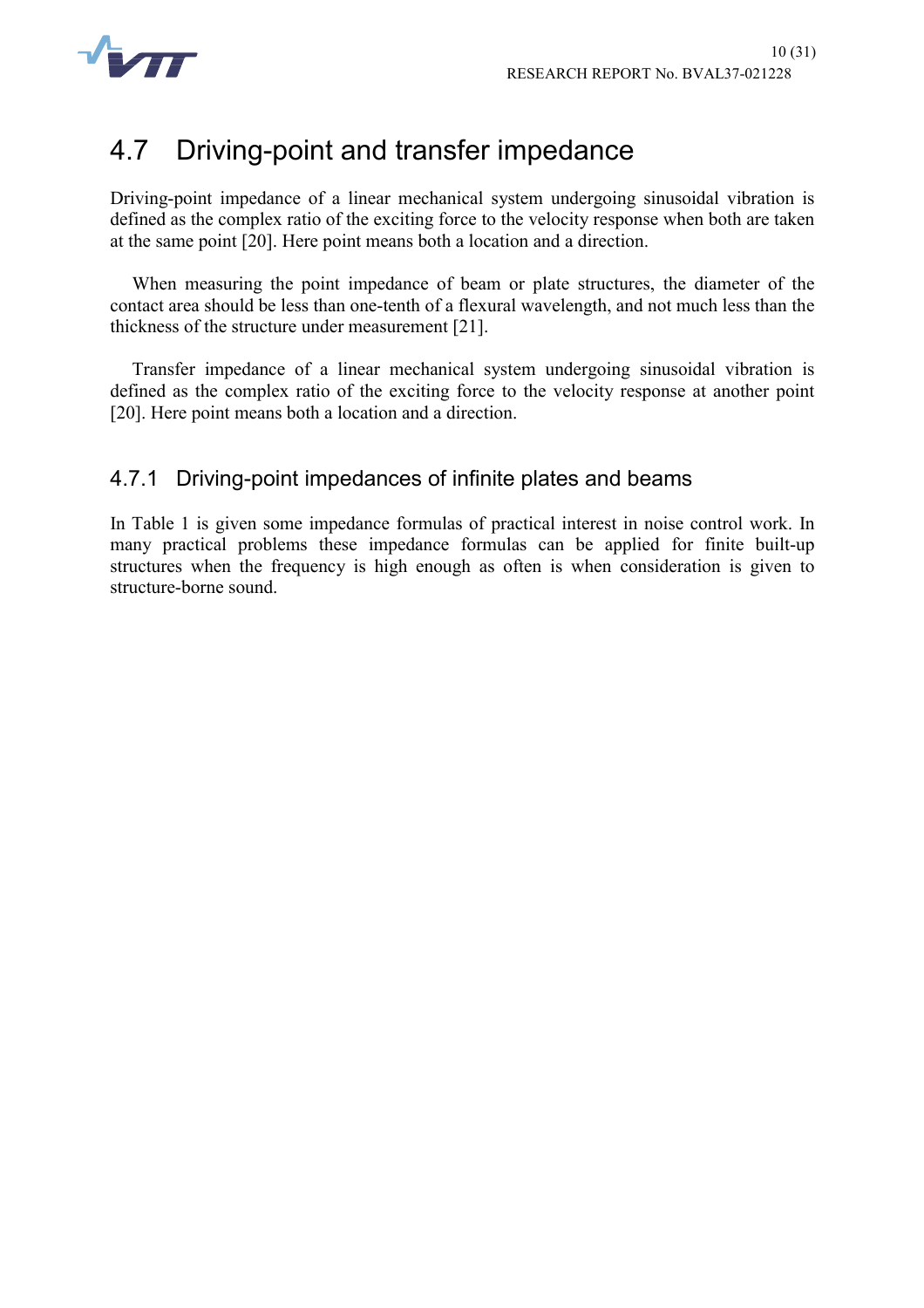

## 4.7 Driving-point and transfer impedance

Driving-point impedance of a linear mechanical system undergoing sinusoidal vibration is defined as the complex ratio of the exciting force to the velocity response when both are taken at the same point [20]. Here point means both a location and a direction.

When measuring the point impedance of beam or plate structures, the diameter of the contact area should be less than one-tenth of a flexural wavelength, and not much less than the thickness of the structure under measurement [21].

Transfer impedance of a linear mechanical system undergoing sinusoidal vibration is defined as the complex ratio of the exciting force to the velocity response at another point [20]. Here point means both a location and a direction.

#### 4.7.1 Driving-point impedances of infinite plates and beams

In Table 1 is given some impedance formulas of practical interest in noise control work. In many practical problems these impedance formulas can be applied for finite built-up structures when the frequency is high enough as often is when consideration is given to structure-borne sound.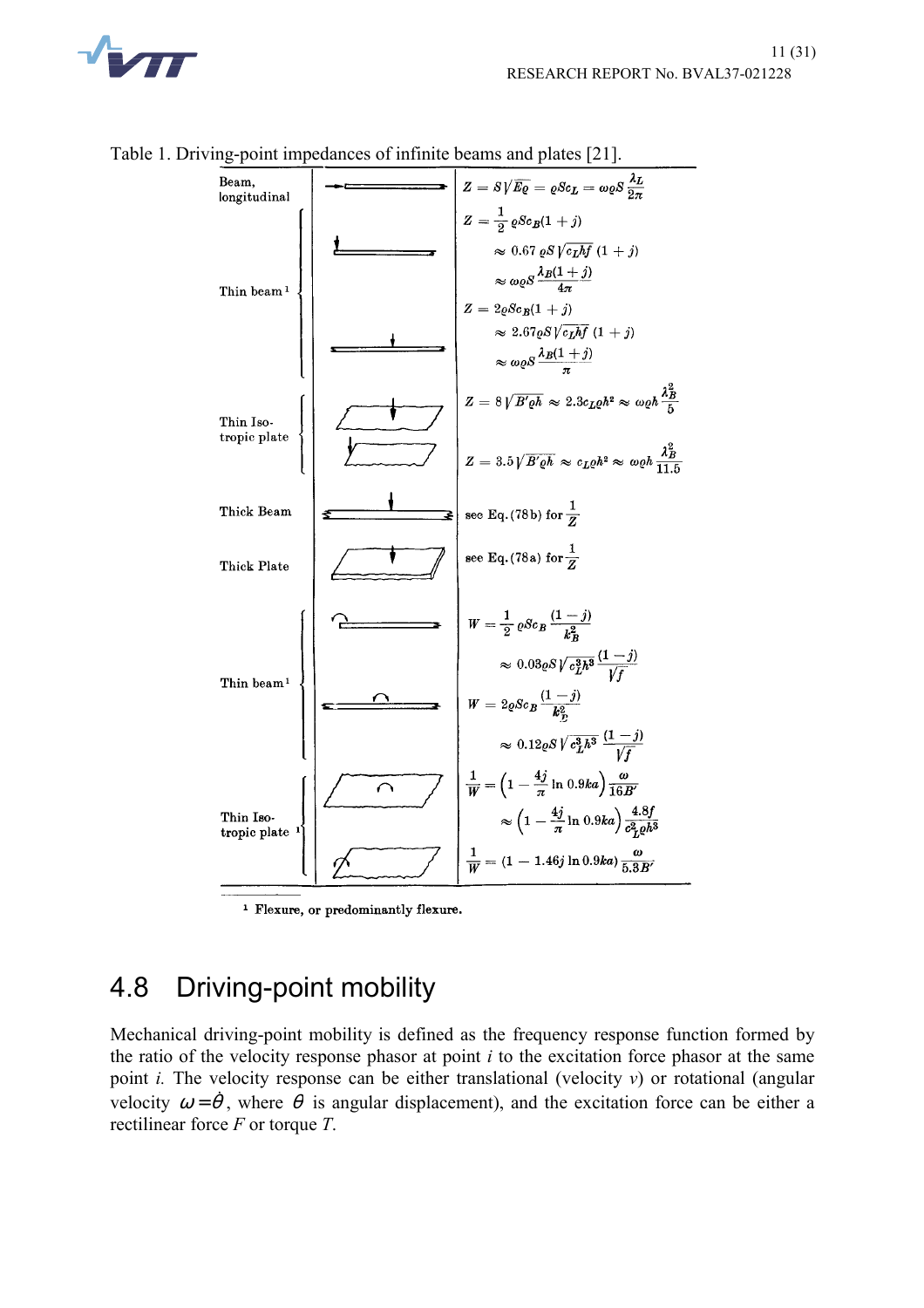

 $Z = S\sqrt{E\varrho} = \varrho Sc_L = \omega \varrho S \frac{\lambda_L}{2\pi}$ Beam, longitudinal  $Z = \frac{1}{2} \rho Sc_B(1+j)$  $\approx 0.67 \,\mathrm{e}S\sqrt{c_Lhf} \,(1+j)$  $\approx \omega_Q S \frac{\lambda_B (1+j)}{4\pi}$ <br>Z =  $2 \varrho Sc_B(1+j)$ Thin beam  $\approx 2.67 \rho S \sqrt{c_L hf} (1+j)$  $\approx \omega \varrho S \frac{\lambda_B (1+j)}{\pi}$  $Z = 8\sqrt{B' \varrho h} \approx 2.3 c_L \varrho h^2 \approx \omega \varrho h \frac{\lambda_B^2}{5}$ Thin Iso tropic plate  $Z = 3.5 \sqrt{B' \varrho h} \, \approx \, c_L \varrho h^2 \approx \, \omega \varrho h \, \frac{\lambda_B^2}{11.5}$ see Eq. (78b) for  $\frac{1}{Z}$ Thick Beam see Eq. (78a) for  $\frac{1}{Z}$ Thick Plate  $W = \frac{1}{2} \, \varrho S c_B \, \frac{(1-j)}{k_B^2}$  $\approx 0.03 \varrho S \sqrt{\frac{c_1^3 h^3}{f}} \frac{(1-j)}{\sqrt{f}}$ Thin beam<sup>1</sup>  $W = 2 \varrho Sc_B \frac{(1-j)}{k_B^2}$  $\approx 0.12 \varrho S \sqrt{c_L^3 h^3} \, \frac{(1-j)}{\sqrt{f}}$  $\frac{1}{W} = \left(1 - \frac{4j}{\pi} \ln 0.9ka\right) \frac{\omega}{16B'}$  $\approx \left(1 - \frac{4j}{\pi} \ln 0.9ka\right) \frac{4.8f}{c_L^2 e^{h^3}}$ Thin Iso tropic plate  $\frac{1}{W} = (1 - 1.46j \ln 0.9ka) \frac{\omega}{5.3B'}$ 

Table 1. Driving-point impedances of infinite beams and plates [21].

<sup>1</sup> Flexure, or predominantly flexure.

## 4.8 Driving-point mobility

Mechanical driving-point mobility is defined as the frequency response function formed by the ratio of the velocity response phasor at point *i* to the excitation force phasor at the same point *i.* The velocity response can be either translational (velocity *v*) or rotational (angular velocity  $\omega = \dot{\theta}$ , where  $\dot{\theta}$  is angular displacement), and the excitation force can be either a rectilinear force *F* or torque *T*.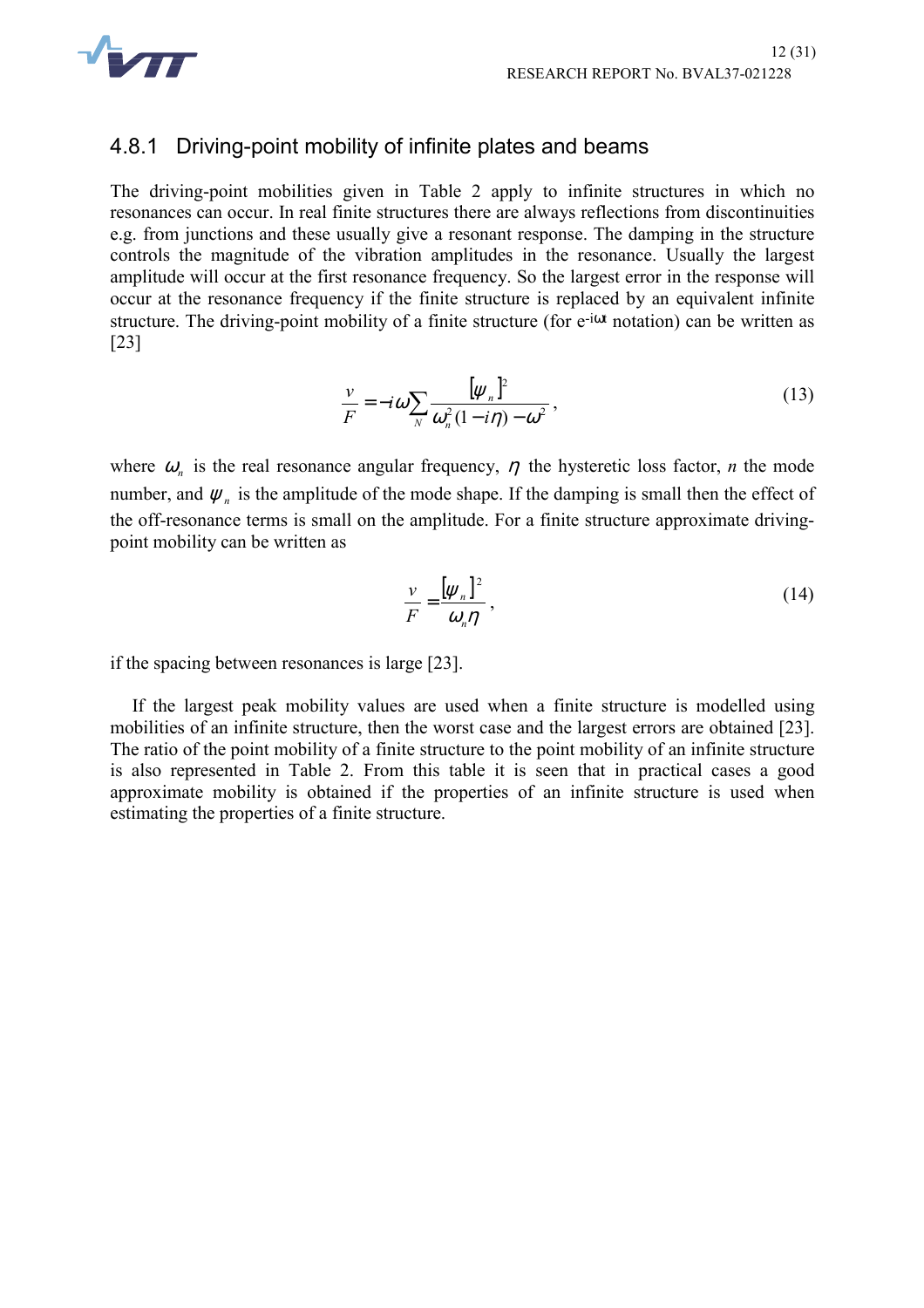

#### 4.8.1 Driving-point mobility of infinite plates and beams

The driving-point mobilities given in Table 2 apply to infinite structures in which no resonances can occur. In real finite structures there are always reflections from discontinuities e.g. from junctions and these usually give a resonant response. The damping in the structure controls the magnitude of the vibration amplitudes in the resonance. Usually the largest amplitude will occur at the first resonance frequency. So the largest error in the response will occur at the resonance frequency if the finite structure is replaced by an equivalent infinite structure. The driving-point mobility of a finite structure (for e<sup>-iot</sup> notation) can be written as [23]

$$
\frac{\nu}{F} = -i\omega \sum_{N} \frac{[\psi_n]^2}{\omega_n^2 (1 - i\eta) - \omega^2},\tag{13}
$$

where  $\omega_n$  is the real resonance angular frequency,  $\eta$  the hysteretic loss factor, *n* the mode number, and  $\psi_n$  is the amplitude of the mode shape. If the damping is small then the effect of the off-resonance terms is small on the amplitude. For a finite structure approximate drivingpoint mobility can be written as

$$
\frac{\nu}{F} = \frac{\left[\psi_n\right]^2}{\omega_n \eta},\tag{14}
$$

if the spacing between resonances is large [23].

If the largest peak mobility values are used when a finite structure is modelled using mobilities of an infinite structure, then the worst case and the largest errors are obtained [23]. The ratio of the point mobility of a finite structure to the point mobility of an infinite structure is also represented in Table 2. From this table it is seen that in practical cases a good approximate mobility is obtained if the properties of an infinite structure is used when estimating the properties of a finite structure.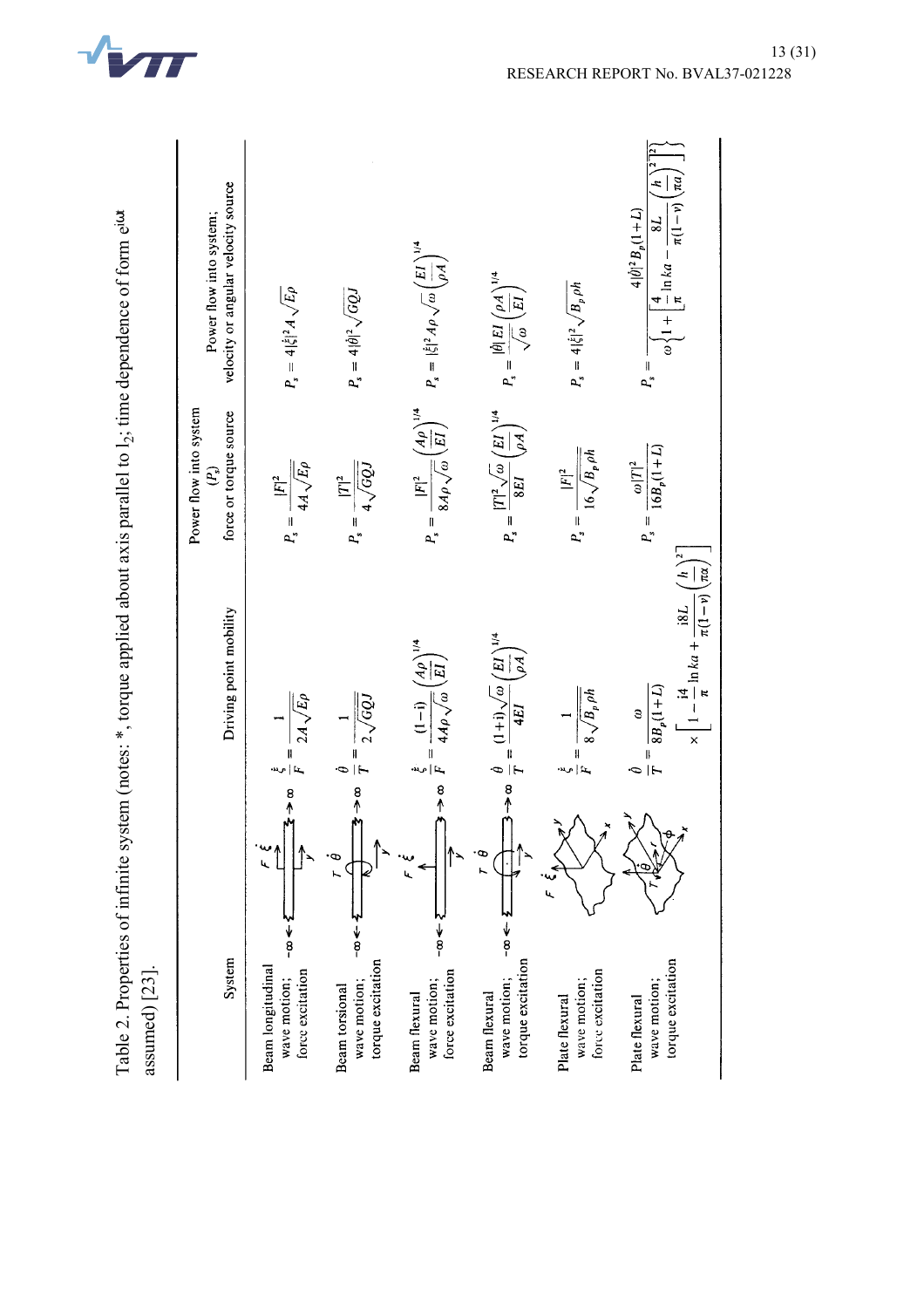

Table 2. Properties of infinite system (notes:  $*$ , torque applied about axis parallel to  $l_2$ ; time dependence of form e<sup>ion</sup>

Table 2. Properties of infinite system (notes: \*, torque applied about axis parallel to l<sub>2</sub>; time dependence of form e<sup>iot</sup>

| assumed $[23]$                                                                                 |                                                                                                                                                        |                                                                               |                                                                                                                                                                            |
|------------------------------------------------------------------------------------------------|--------------------------------------------------------------------------------------------------------------------------------------------------------|-------------------------------------------------------------------------------|----------------------------------------------------------------------------------------------------------------------------------------------------------------------------|
| System                                                                                         | Driving point mobility                                                                                                                                 | Power flow into system<br>force or torque source<br>$\widehat{\epsilon}$      | velocity or angular velocity source<br>Power flow into system;                                                                                                             |
| $\infty$ $\leq$<br>Ŀ<br>$\frac{1}{8}$<br>Beam longitudinal<br>force excitation<br>wave motion; | $\frac{1}{2A\sqrt{E\rho}}$<br>.<br>اس∧   اسم<br>س                                                                                                      | $P_s = \frac{ F ^2}{4A\sqrt{E\rho}}$                                          | $P_s = 4 \xi ^2 A \sqrt{E\rho}$                                                                                                                                            |
| 。<br>11<br>$\frac{1}{8}$<br>torque excitation<br>wave motion;<br>Beam torsional                | $rac{1}{2\sqrt{GQJ}}$                                                                                                                                  | $P_s = \frac{ T ^2}{4\sqrt{GQJ}}$                                             | $P_s = 4  \hat{\theta} ^2 \sqrt{GQJ}$                                                                                                                                      |
| $\frac{8}{11}$<br>$\frac{1}{8}$<br>force excitation<br>wave motion;<br>Beam flexural           | $=\frac{(1-i)}{4A\rho\sqrt{\omega}}\left(\frac{A\rho}{EI}\right)^{1/4}$                                                                                | $P_s = \frac{ F ^2}{8A\rho\sqrt{\omega}} \left(\frac{A\rho}{EI}\right)^{1/4}$ | $P_s =  \dot{\xi} ^2 A \rho \sqrt{\omega} \left(\frac{EI}{\rho A}\right)^{1/4}$                                                                                            |
| Ф<br>∳<br>8<br>torque excitation<br>wave motion;<br>Beam flexural                              | $\Rightarrow \infty$ $\frac{\theta}{T} = \frac{(1+i)\sqrt{\omega}}{4EI} \left(\frac{EI}{\rho A}\right)^{1/4}$                                          | $P_s = \frac{ T ^2 \sqrt{\omega}}{8EI} \left(\frac{EI}{\rho A}\right)^{1/4}$  | $P_s = \frac{ \hat{\theta}  EI}{\sqrt{\omega}} \left(\frac{\rho A}{EI}\right)^{1/4}$                                                                                       |
| پ<br>س<br>h,<br>force excitation<br>wave motion;<br>Plate flexural                             | $8\sqrt{B_p\,\rho h}$                                                                                                                                  | $P_s = \frac{ F ^2}{16\sqrt{B_p\rho h}}$                                      | $P_s = 4 \dot{\xi} ^2 \sqrt{B_p \rho h}$                                                                                                                                   |
| $\mathcal{L}^{\star}$<br>torque excitation<br>wave motion;<br>Plate flexural                   | $\times \left[1-\frac{14}{\pi}\ln ka+\frac{18L}{\pi(1-v)}\left(\frac{h}{\pi\alpha}\right)^2\right]$<br>$\frac{\omega}{8B_p(1+L)}$<br>$=\frac{1}{\phi}$ | $P_s = \frac{\omega  T ^2}{16B_p(1+L)}$                                       | $\omega \left\{ 1 + \left[ \frac{4}{\pi} \ln k a - \frac{8L}{\pi (1 - v)} \left( \frac{h}{na} \right)^2 \right] \right\}$<br>$4\, \dot\theta ^2\,B_p(1+L)$<br>$P_{\infty}$ |
|                                                                                                |                                                                                                                                                        |                                                                               |                                                                                                                                                                            |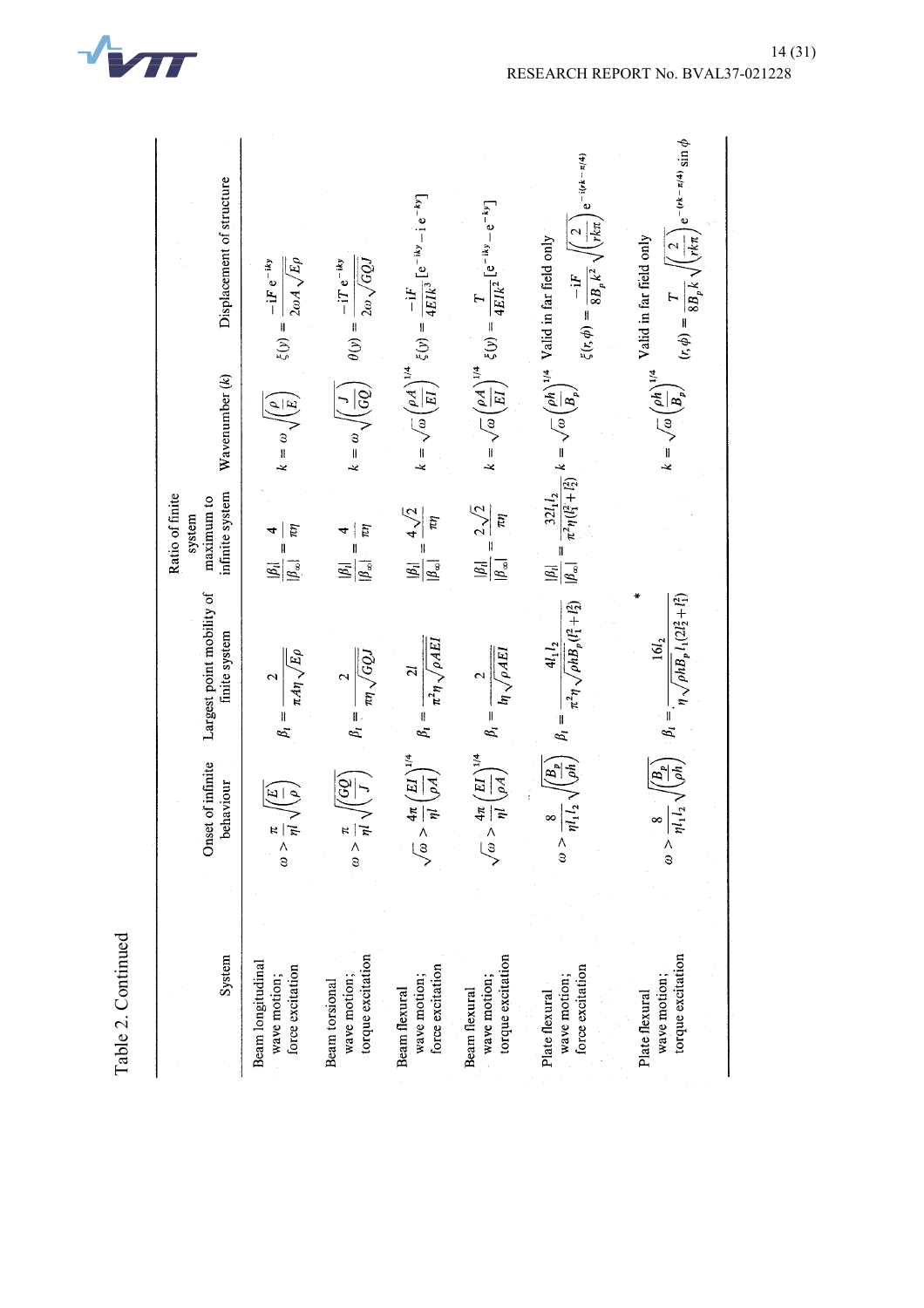| System                                                | Onset of infinite<br>behaviour                                    | Largest point mobility of<br>finite system                                      | infinite system<br>Ratio of finite<br>maximum to<br>system                                            | Wavenumber (k)                                  | Displacement of structure                                                                                                                                                                                                                                         |
|-------------------------------------------------------|-------------------------------------------------------------------|---------------------------------------------------------------------------------|-------------------------------------------------------------------------------------------------------|-------------------------------------------------|-------------------------------------------------------------------------------------------------------------------------------------------------------------------------------------------------------------------------------------------------------------------|
| Beam longitudinal<br>force excitation<br>wave motion; | $\frac{\pi}{\omega} < \frac{\pi}{\omega}$                         | $\frac{2}{\pi A\eta\sqrt{E\rho}}$<br>$\beta_i =$                                | ŗΩ<br>$ \beta_{\infty} $                                                                              | $k = \omega \sqrt{\left(\frac{\rho}{E}\right)}$ | $2\omega A \sqrt{E\rho}$<br>$-iF e^{-iky}$<br>$\xi(y) =$                                                                                                                                                                                                          |
| torque excitation<br>wave motion;<br>Beam torsional   | $\frac{1}{2}$<br>$\frac{\pi}{\omega} > \frac{\pi}{\zeta}$         | $\mu\sqrt{GQJ}$<br>$\sim$                                                       | $\pi\eta$<br>4<br>ľ<br>$\mathbb{E}_{l}$<br>$ \beta_{\infty} $                                         | $\widetilde{\frac{55}{5}}$<br>$k = \omega$      | $2\omega\sqrt{GQJ}$<br>$-iT e^{-iky}$<br>$\theta(y) = -$                                                                                                                                                                                                          |
| force excitation<br>wave motion;<br>Beam flexural     | $\left(\frac{EI}{\rho A}\right)^{1/4}$<br>$4\pi$<br>$\frac{8}{3}$ | $\pi^2\eta\sqrt{\rho A E}I$<br>$\tilde{z}$<br>$\beta_i =$ .                     | $4\sqrt{2}$<br>$\pi\eta$<br>$\mathbb{E}$<br>$ \beta_{\infty} $                                        |                                                 | $k = \sqrt{\omega} \left(\frac{\rho A}{EI}\right)^{1/4} \xi(y) = \frac{-iF}{4EIk^3} [e^{-iky} - ie^{-ky}]$                                                                                                                                                        |
| torque excitation<br>wave motion;<br>Beam flexural    | $\sqrt{\frac{Fd}{H}}$<br>$\frac{1}{\pi}$<br>$\frac{1}{3}$         | $ln\sqrt{\rho AEI}$                                                             | $2\sqrt{2}$<br>$\pi$<br>$\frac{\left \beta_{i}\right }{\left \beta_{i}\right }$<br>$ \beta_{\infty} $ |                                                 | $k = \sqrt{\omega} \left(\frac{\rho A}{EI}\right)^{1/4} \xi(y) = \frac{T}{4EIk^2} [e^{-iky} - e^{-ky}]$                                                                                                                                                           |
| force excitation<br>wave motion;<br>Plate flexural    | $l_1 l_2 \wedge$<br>∞<br>$\frac{1}{3}$                            | $\pi^2\eta\sqrt{\rho h B_p(l_1^2+l_2^2)}$<br>$4l_1 l_2$<br>$\beta_i =$          | $\begin{bmatrix} \beta_i \end{bmatrix}$<br>$ \beta_{\infty} $                                         |                                                 | $e^{-i(rk - \pi/4)}$<br>$\sqrt{\frac{2}{r k \pi}}$<br>$\frac{32l_1l_2}{\pi^2\eta(l_1^2+l_2^2)} k = \sqrt{\omega} \left(\frac{\rho h}{B_p}\right)^{1/4}$ Valid in far field only<br>$\pi^-$<br>$\xi(r,\phi) = \frac{-\mathrm{i} F}{8B_{p}k^{2}}\sqrt{2k_{p}k^{2}}$ |
| torque excitation<br>wave motion;<br>Plate flexural   | $l_1 l_2 \wedge$<br>$\infty$<br>$\frac{1}{3}$                     | $\eta \sqrt{\rho h B_p} l_1(2l_2^2 + l_1^2)$<br>16l <sub>2</sub><br>$\beta_i =$ |                                                                                                       |                                                 | $\left(\frac{2}{rk\pi}\right)e^{-(rk-\pi/4)}\sin\phi$<br>$k = \sqrt{\omega} \left(\frac{\rho h}{B_p}\right)^{1/4}$ Valid in far field only<br>$(r, \phi) = \frac{1}{8B_p k} \sqrt{\left(\frac{1}{2}\right)^2}$                                                    |

Table 2. Continued Table 2. Continued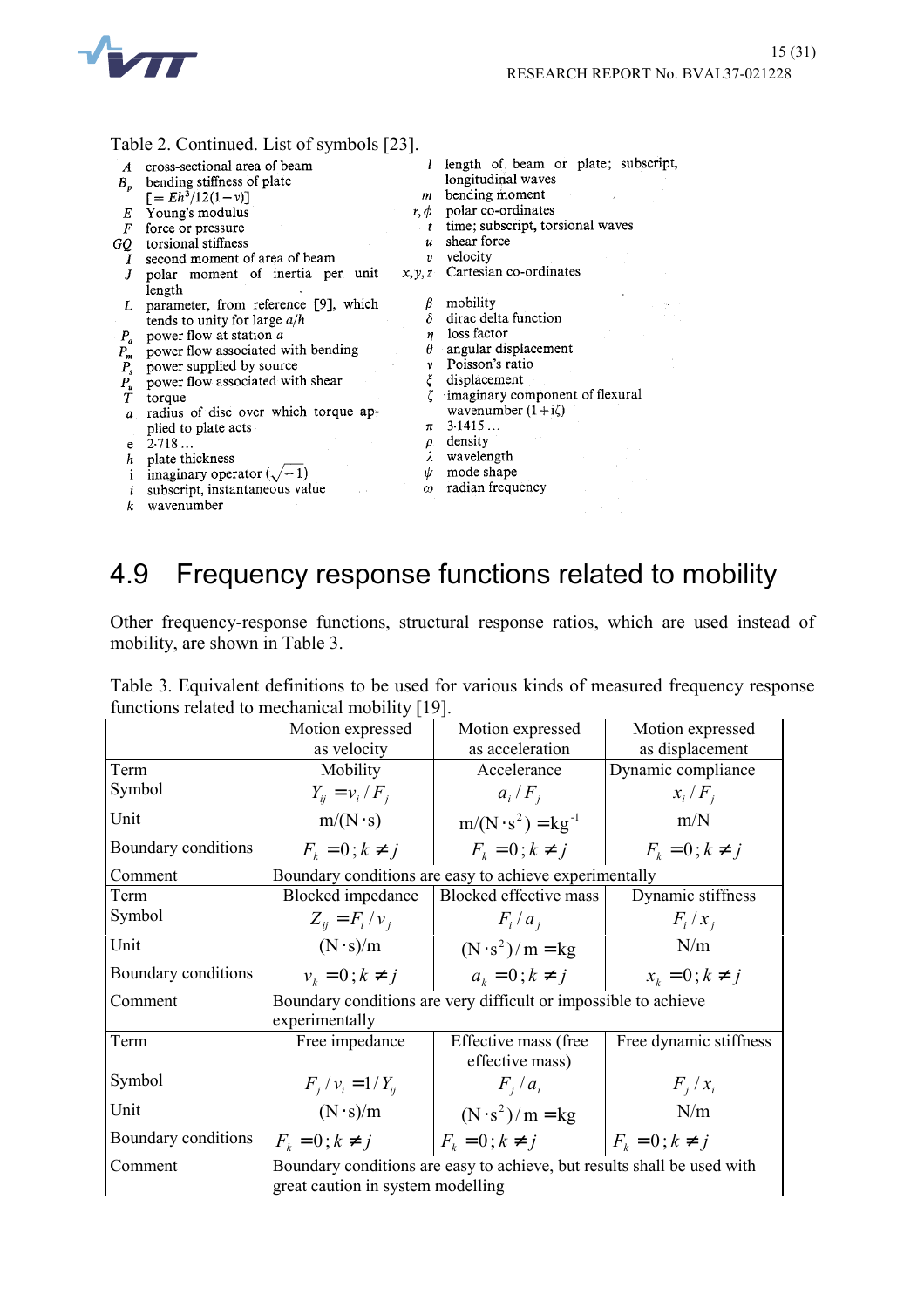

| Table 2. Continued. List of symbols [23]. |  |  |  |  |  |
|-------------------------------------------|--|--|--|--|--|
|-------------------------------------------|--|--|--|--|--|

|         | $1$ avit $2$ . Continuou, List of symbols $ 25 $ . |                  |                                     |
|---------|----------------------------------------------------|------------------|-------------------------------------|
| A       | cross-sectional area of beam                       |                  | length of beam or plate; subscript, |
| $B_{p}$ | bending stiffness of plate                         |                  | longitudinal waves                  |
|         | $\Gamma = Eh^3/12(1-v)$                            | m                | bending moment                      |
| Е       | Young's modulus                                    | $r, \phi$        | polar co-ordinates                  |
| F       | force or pressure                                  | t                | time; subscript, torsional waves    |
| GQ      | torsional stiffness                                | $u$ .            | shear force                         |
| Ι       | second moment of area of beam                      | 1)               | velocity                            |
| J       | polar moment of inertia per unit                   | x, y, z          | Cartesian co-ordinates              |
|         | length                                             |                  |                                     |
| L       | parameter, from reference [9], which               |                  | mobility                            |
|         | tends to unity for large $a/h$                     | δ                | dirac delta function                |
| $P_a$   | power flow at station a                            | $\boldsymbol{n}$ | loss factor                         |
| $P_m$   | power flow associated with bending                 | θ                | angular displacement                |
| $P_{s}$ | power supplied by source                           | $\mathbf{v}$     | Poisson's ratio                     |
| $P_u$   | power flow associated with shear                   | ξ                | displacement                        |
| Т       | torque                                             |                  | imaginary component of flexural     |
| a       | radius of disc over which torque ap-               |                  | wavenumber $(1+i\zeta)$             |
|         | plied to plate acts                                | π                | 3.1415                              |
| e       | 2.718                                              | ρ.               | density                             |
| h       | plate thickness                                    |                  | wavelength                          |
|         | imaginary operator $(\sqrt{-1})$                   | ψ                | mode shape                          |
|         | subscript, instantaneous value                     | $\omega$         | radian frequency                    |
| k       | wavenumber                                         |                  |                                     |

## 4.9 Frequency response functions related to mobility

Other frequency-response functions, structural response ratios, which are used instead of mobility, are shown in Table 3.

|  |                                                |  |  | Table 3. Equivalent definitions to be used for various kinds of measured frequency response |  |
|--|------------------------------------------------|--|--|---------------------------------------------------------------------------------------------|--|
|  | functions related to mechanical mobility [19]. |  |  |                                                                                             |  |

|                                                                            | Motion expressed                                                                                             | Motion expressed                                              | Motion expressed       |  |
|----------------------------------------------------------------------------|--------------------------------------------------------------------------------------------------------------|---------------------------------------------------------------|------------------------|--|
|                                                                            | as velocity                                                                                                  | as acceleration                                               | as displacement        |  |
| Term                                                                       | Mobility                                                                                                     | Accelerance                                                   | Dynamic compliance     |  |
| Symbol                                                                     | $Y_{ii} = v_i / F_i$                                                                                         | $a_i/F_i$                                                     | $x_i/F_i$              |  |
| Unit                                                                       | $m/(N \cdot s)$                                                                                              | $m/(N \cdot s^2) = kg^{-1}$                                   | m/N                    |  |
| Boundary conditions                                                        | $F_k = 0$ ; $k \neq j$                                                                                       | $F_k = 0$ ; $k \neq j$                                        | $F_k = 0$ ; $k \neq j$ |  |
| Comment                                                                    |                                                                                                              | Boundary conditions are easy to achieve experimentally        |                        |  |
| Term                                                                       | <b>Blocked</b> impedance                                                                                     | Blocked effective mass                                        | Dynamic stiffness      |  |
| Symbol                                                                     | $Z_{ii} = F_i / v_i$                                                                                         | $F_i/a_i$                                                     | $F_i/x_i$              |  |
| Unit                                                                       | $(N \cdot s)/m$                                                                                              | $(N \cdot s^2)/m = kg$                                        | N/m                    |  |
| Boundary conditions                                                        | $v_k = 0; k \neq j$                                                                                          | $a_k = 0; k \neq j$                                           | $x_k = 0$ ; $k \neq j$ |  |
| Boundary conditions are very difficult or impossible to achieve<br>Comment |                                                                                                              |                                                               |                        |  |
|                                                                            | experimentally                                                                                               |                                                               |                        |  |
| Term                                                                       | Free impedance                                                                                               | Effective mass (free<br>effective mass)                       | Free dynamic stiffness |  |
| Symbol                                                                     | $F_i / v_i = 1 / Y_{ii}$                                                                                     | $F_i/a_i$                                                     | $F_i/x_i$              |  |
| Unit                                                                       | $(N \cdot s)/m$                                                                                              | $(N \cdot s^2)/m = kg$                                        | N/m                    |  |
| Boundary conditions                                                        |                                                                                                              | $F_k = 0; k \neq j$ $ F_k = 0; k \neq j$ $ F_k = 0; k \neq j$ |                        |  |
| Comment                                                                    | Boundary conditions are easy to achieve, but results shall be used with<br>great caution in system modelling |                                                               |                        |  |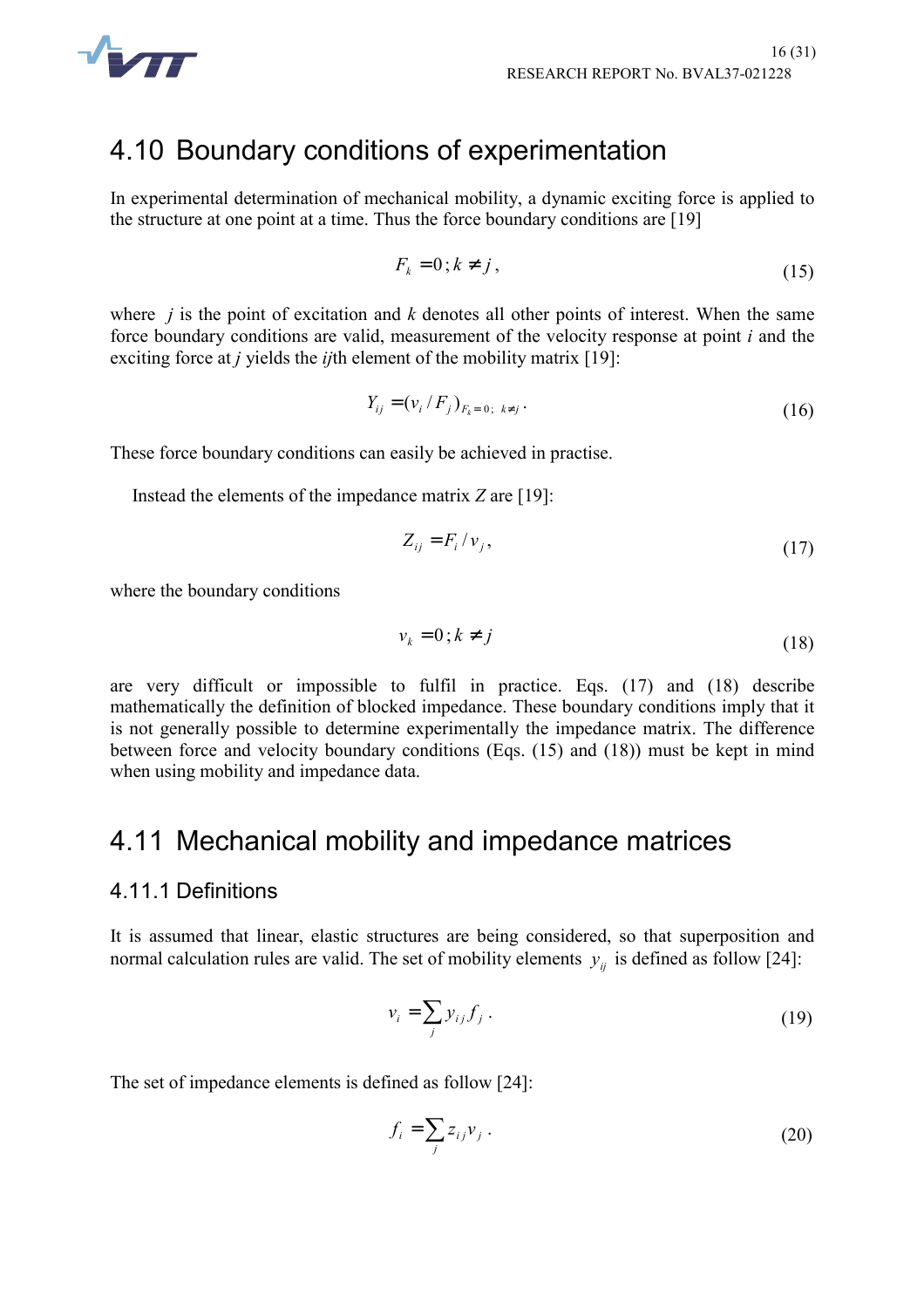

### 4.10 Boundary conditions of experimentation

In experimental determination of mechanical mobility, a dynamic exciting force is applied to the structure at one point at a time. Thus the force boundary conditions are [19]

$$
F_k = 0; k \neq j, \tag{15}
$$

where  $j$  is the point of excitation and  $k$  denotes all other points of interest. When the same force boundary conditions are valid, measurement of the velocity response at point *i* and the exciting force at *j* yields the *ij*th element of the mobility matrix [19]:

$$
Y_{ij} = (v_i / F_j)_{F_k = 0; k \neq j}.
$$
\n(16)

These force boundary conditions can easily be achieved in practise.

Instead the elements of the impedance matrix *Z* are [19]:

$$
Z_{ij} = F_i / v_j, \tag{17}
$$

where the boundary conditions

$$
v_k = 0; k \neq j \tag{18}
$$

are very difficult or impossible to fulfil in practice. Eqs. (17) and (18) describe mathematically the definition of blocked impedance. These boundary conditions imply that it is not generally possible to determine experimentally the impedance matrix. The difference between force and velocity boundary conditions (Eqs. (15) and (18)) must be kept in mind when using mobility and impedance data.

#### 4.11 Mechanical mobility and impedance matrices

#### 4.11.1 Definitions

It is assumed that linear, elastic structures are being considered, so that superposition and normal calculation rules are valid. The set of mobility elements  $y_{ij}$  is defined as follow [24]:

$$
v_i = \sum_j y_{ij} f_j \,. \tag{19}
$$

The set of impedance elements is defined as follow [24]:

$$
f_i = \sum_j z_{ij} v_j \tag{20}
$$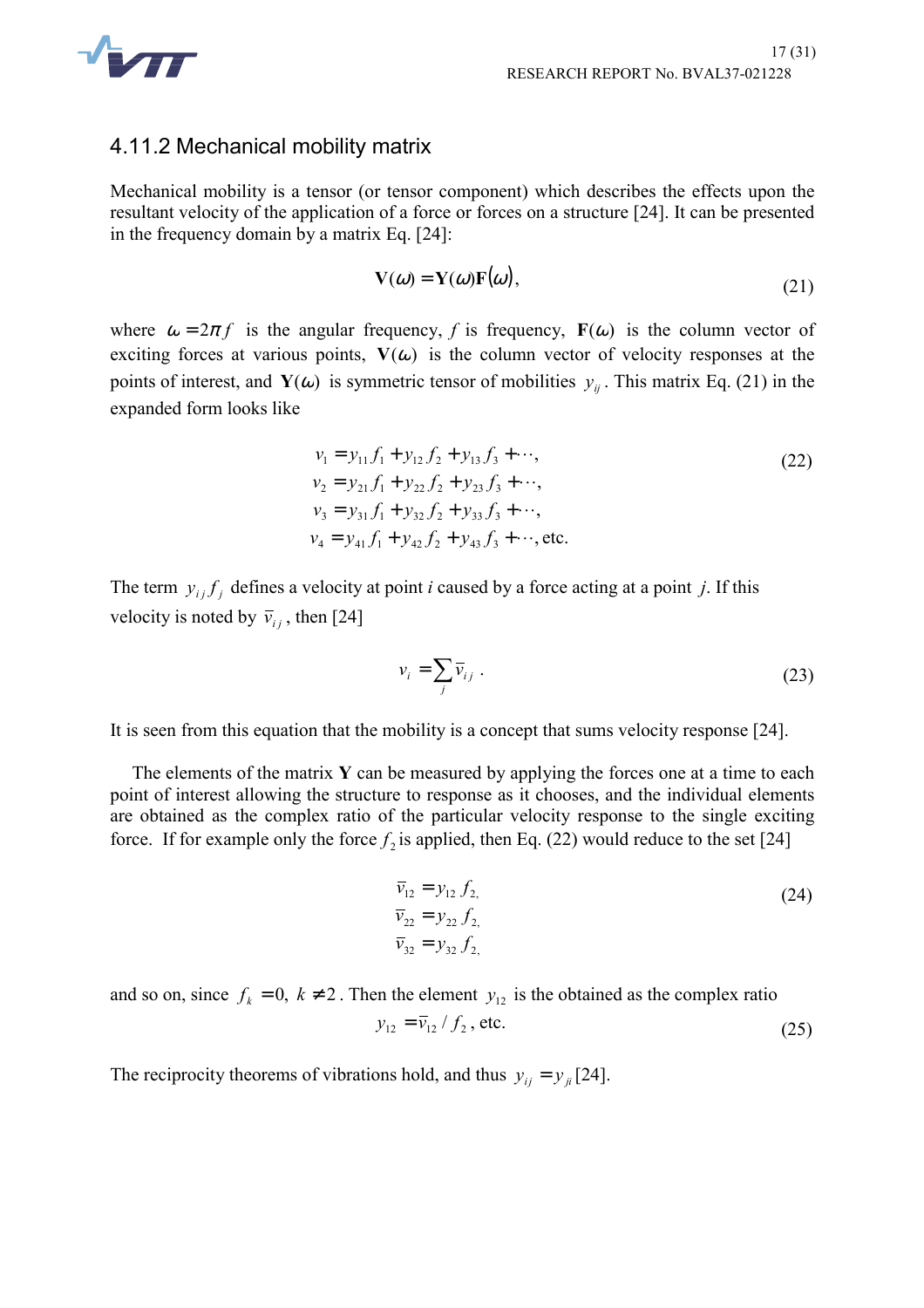

#### 4.11.2 Mechanical mobility matrix

Mechanical mobility is a tensor (or tensor component) which describes the effects upon the resultant velocity of the application of a force or forces on a structure [24]. It can be presented in the frequency domain by a matrix Eq. [24]:

$$
\mathbf{V}(\omega) = \mathbf{Y}(\omega)\mathbf{F}(\omega),\tag{21}
$$

where  $\omega = 2\pi f$  is the angular frequency, f is frequency, **F**( $\omega$ ) is the column vector of exciting forces at various points,  $V(\omega)$  is the column vector of velocity responses at the points of interest, and **Y**( $\omega$ ) is symmetric tensor of mobilities  $y_{ij}$ . This matrix Eq. (21) in the expanded form looks like

$$
v_1 = y_{11} f_1 + y_{12} f_2 + y_{13} f_3 + \cdots,
$$
  
\n
$$
v_2 = y_{21} f_1 + y_{22} f_2 + y_{23} f_3 + \cdots,
$$
  
\n
$$
v_3 = y_{31} f_1 + y_{32} f_2 + y_{33} f_3 + \cdots,
$$
  
\n
$$
v_4 = y_{41} f_1 + y_{42} f_2 + y_{43} f_3 + \cdots,
$$
 etc. (22)

The term  $y_{ij} f_j$  defines a velocity at point *i* caused by a force acting at a point *j*. If this velocity is noted by  $\bar{v}_{i}$ , then [24]

$$
v_i = \sum_j \overline{v}_{ij} \tag{23}
$$

It is seen from this equation that the mobility is a concept that sums velocity response [24].

The elements of the matrix **Y** can be measured by applying the forces one at a time to each point of interest allowing the structure to response as it chooses, and the individual elements are obtained as the complex ratio of the particular velocity response to the single exciting force. If for example only the force  $f_2$  is applied, then Eq. (22) would reduce to the set [24]

$$
\overline{v}_{12} = y_{12} f_{2}, \n\overline{v}_{22} = y_{22} f_{2}, \n\overline{v}_{32} = y_{32} f_{2},
$$
\n(24)

and so on, since  $f_k = 0$ ,  $k \neq 2$ . Then the element  $y_{12}$  is the obtained as the complex ratio  $y_{12} = \overline{v}_{12} / f_2$ , etc. (25)

The reciprocity theorems of vibrations hold, and thus  $y_{ij} = y_{ji} [24]$ .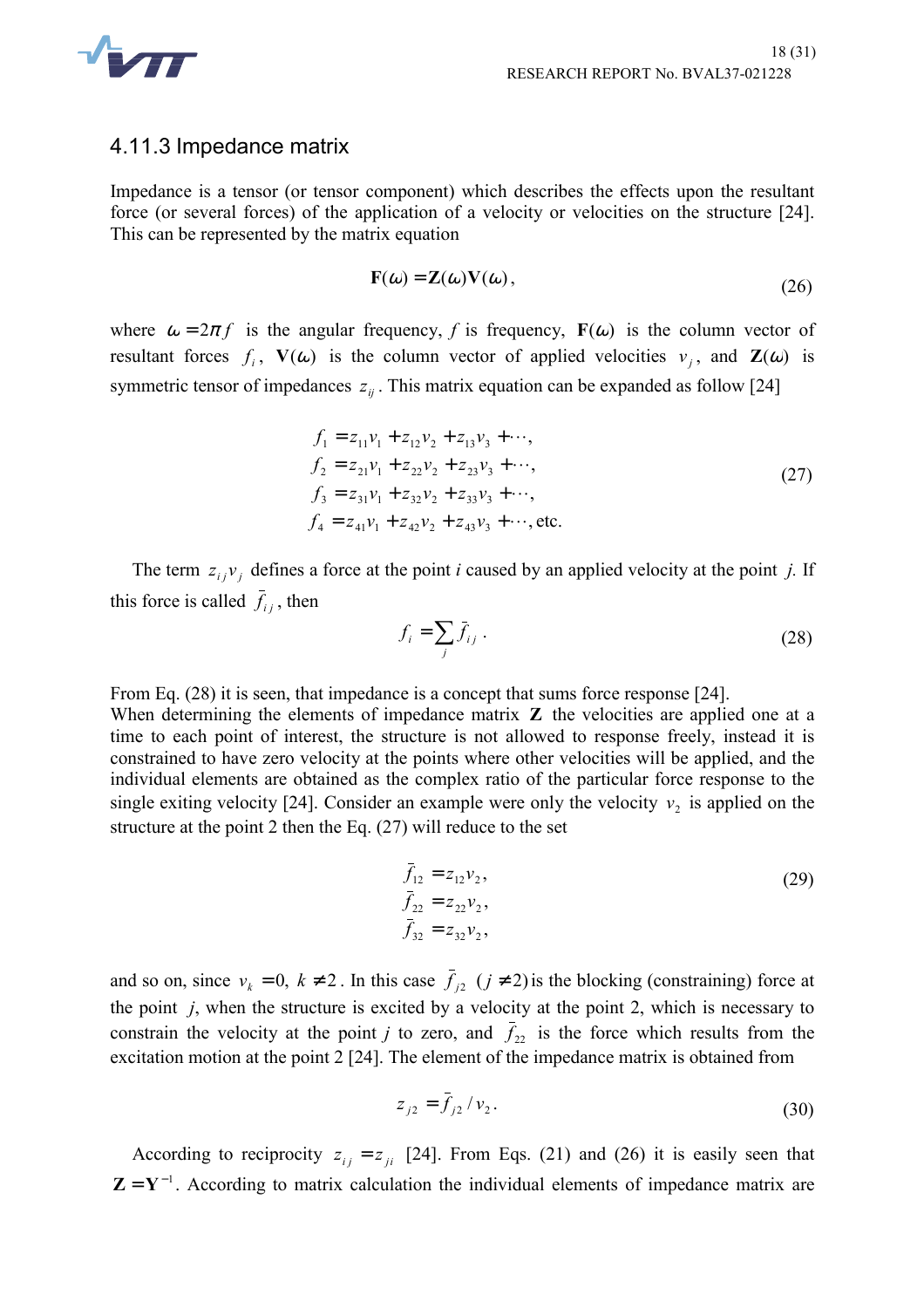

#### 4.11.3 Impedance matrix

Impedance is a tensor (or tensor component) which describes the effects upon the resultant force (or several forces) of the application of a velocity or velocities on the structure [24]. This can be represented by the matrix equation

$$
\mathbf{F}(\omega) = \mathbf{Z}(\omega)\mathbf{V}(\omega),\tag{26}
$$

where  $\omega = 2\pi f$  is the angular frequency, f is frequency, **F**( $\omega$ ) is the column vector of resultant forces  $f_i$ ,  $V(\omega)$  is the column vector of applied velocities  $v_j$ , and  $Z(\omega)$  is symmetric tensor of impedances  $z_{ij}$ . This matrix equation can be expanded as follow [24]

$$
f_1 = z_{11}v_1 + z_{12}v_2 + z_{13}v_3 + \cdots,
$$
  
\n
$$
f_2 = z_{21}v_1 + z_{22}v_2 + z_{23}v_3 + \cdots,
$$
  
\n
$$
f_3 = z_{31}v_1 + z_{32}v_2 + z_{33}v_3 + \cdots,
$$
  
\n
$$
f_4 = z_{41}v_1 + z_{42}v_2 + z_{43}v_3 + \cdots, \text{etc.}
$$
\n(27)

The term  $z_{ij}v_j$  defines a force at the point *i* caused by an applied velocity at the point *j*. If this force is called  $\bar{f}_{ij}$ , then

$$
f_i = \sum_j \bar{f}_{ij} \,. \tag{28}
$$

From Eq. (28) it is seen, that impedance is a concept that sums force response [24].

When determining the elements of impedance matrix **Z** the velocities are applied one at a time to each point of interest, the structure is not allowed to response freely, instead it is constrained to have zero velocity at the points where other velocities will be applied, and the individual elements are obtained as the complex ratio of the particular force response to the single exiting velocity [24]. Consider an example were only the velocity  $v_2$  is applied on the structure at the point 2 then the Eq. (27) will reduce to the set

$$
\bar{f}_{12} = z_{12}v_2, \n\bar{f}_{22} = z_{22}v_2, \n\bar{f}_{32} = z_{32}v_2,
$$
\n(29)

and so on, since  $v_k = 0$ ,  $k \neq 2$ . In this case  $\bar{f}_{i2}$   $(j \neq 2)$  is the blocking (constraining) force at the point *j*, when the structure is excited by a velocity at the point 2, which is necessary to constrain the velocity at the point *j* to zero, and  $\bar{f}_{22}$  is the force which results from the excitation motion at the point 2 [24]. The element of the impedance matrix is obtained from

$$
z_{j2} = \bar{f}_{j2} / v_2. \tag{30}
$$

According to reciprocity  $z_{ij} = z_{ji}$  [24]. From Eqs. (21) and (26) it is easily seen that  $\mathbf{Z} = \mathbf{Y}^{-1}$ . According to matrix calculation the individual elements of impedance matrix are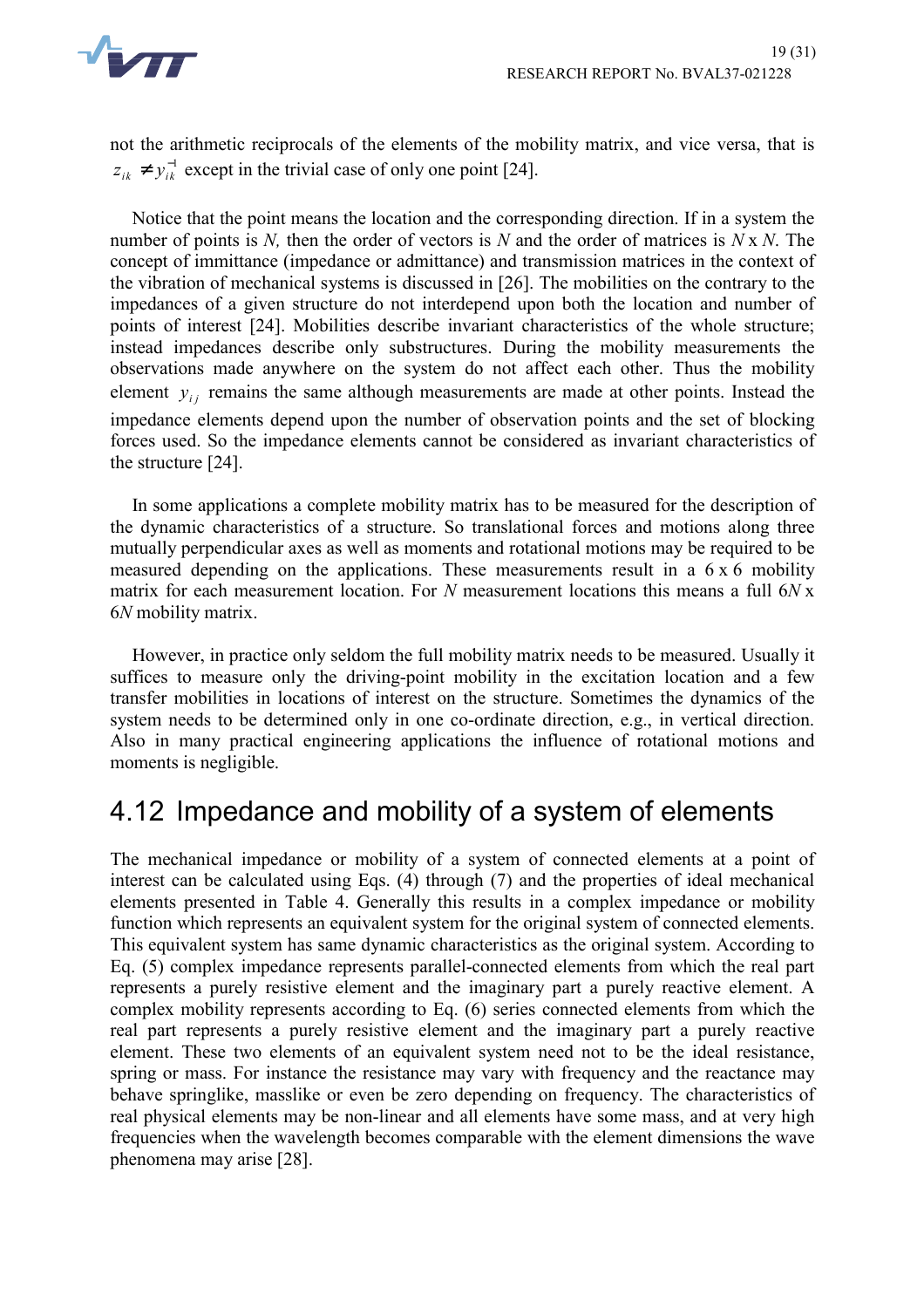

not the arithmetic reciprocals of the elements of the mobility matrix, and vice versa, that is  $z_{ik}$  ≠  $y_{ik}^{-1}$  except in the trivial case of only one point [24].

Notice that the point means the location and the corresponding direction. If in a system the number of points is *N,* then the order of vectors is *N* and the order of matrices is *N* x *N*. The concept of immittance (impedance or admittance) and transmission matrices in the context of the vibration of mechanical systems is discussed in [26]. The mobilities on the contrary to the impedances of a given structure do not interdepend upon both the location and number of points of interest [24]. Mobilities describe invariant characteristics of the whole structure; instead impedances describe only substructures. During the mobility measurements the observations made anywhere on the system do not affect each other. Thus the mobility element  $y_{ij}$  remains the same although measurements are made at other points. Instead the impedance elements depend upon the number of observation points and the set of blocking forces used. So the impedance elements cannot be considered as invariant characteristics of the structure [24].

In some applications a complete mobility matrix has to be measured for the description of the dynamic characteristics of a structure. So translational forces and motions along three mutually perpendicular axes as well as moments and rotational motions may be required to be measured depending on the applications. These measurements result in a  $6 \times 6$  mobility matrix for each measurement location. For *N* measurement locations this means a full 6*N* x 6*N* mobility matrix.

However, in practice only seldom the full mobility matrix needs to be measured. Usually it suffices to measure only the driving-point mobility in the excitation location and a few transfer mobilities in locations of interest on the structure. Sometimes the dynamics of the system needs to be determined only in one co-ordinate direction, e.g., in vertical direction. Also in many practical engineering applications the influence of rotational motions and moments is negligible.

## 4.12 Impedance and mobility of a system of elements

The mechanical impedance or mobility of a system of connected elements at a point of interest can be calculated using Eqs. (4) through (7) and the properties of ideal mechanical elements presented in Table 4. Generally this results in a complex impedance or mobility function which represents an equivalent system for the original system of connected elements. This equivalent system has same dynamic characteristics as the original system. According to Eq. (5) complex impedance represents parallel-connected elements from which the real part represents a purely resistive element and the imaginary part a purely reactive element. A complex mobility represents according to Eq. (6) series connected elements from which the real part represents a purely resistive element and the imaginary part a purely reactive element. These two elements of an equivalent system need not to be the ideal resistance, spring or mass. For instance the resistance may vary with frequency and the reactance may behave springlike, masslike or even be zero depending on frequency. The characteristics of real physical elements may be non-linear and all elements have some mass, and at very high frequencies when the wavelength becomes comparable with the element dimensions the wave phenomena may arise [28].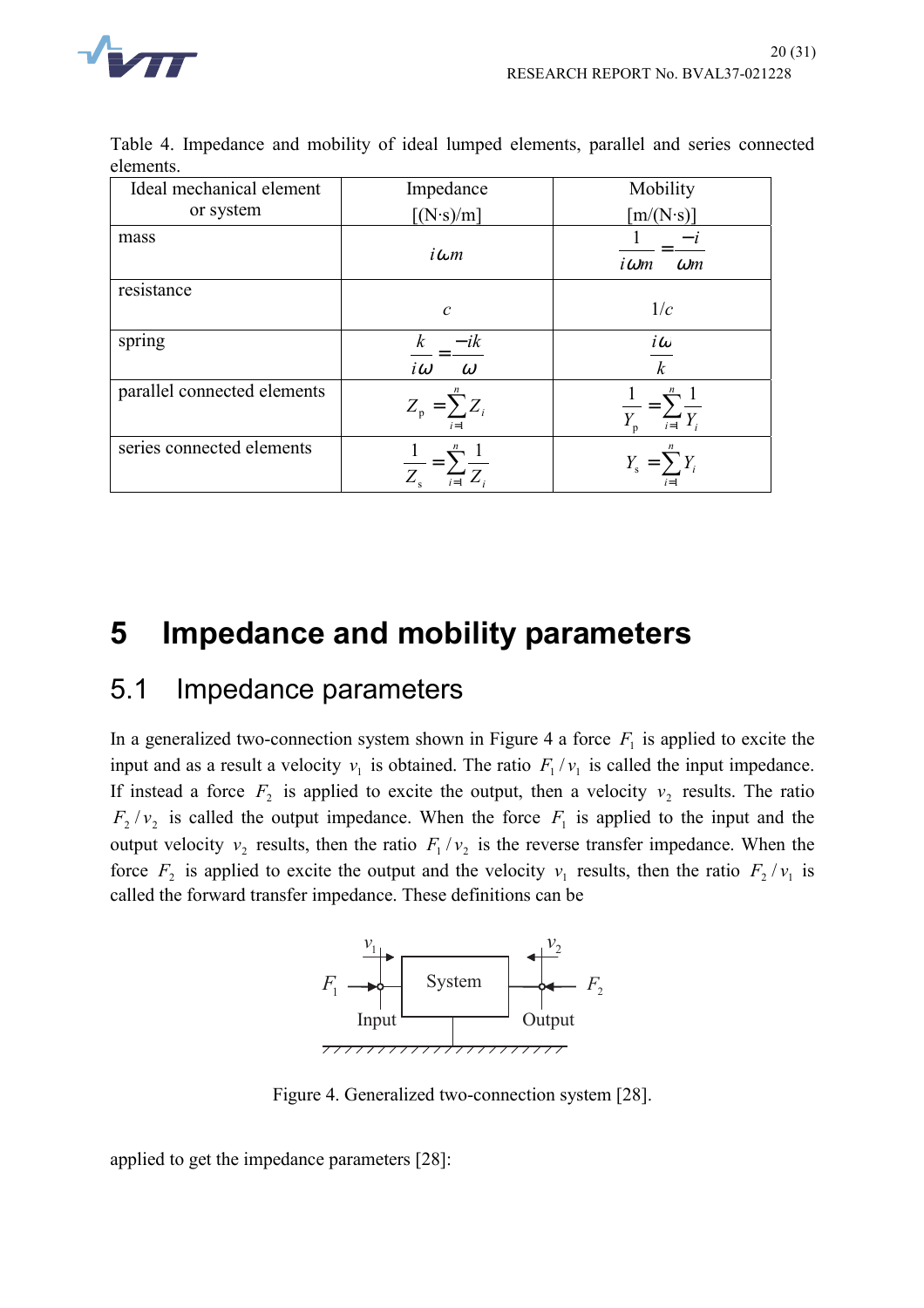

| elements.                                                                               |  |
|-----------------------------------------------------------------------------------------|--|
| Table 4. Impedance and mobility of ideal lumped elements, parallel and series connected |  |

| Ideal mechanical element    | Impedance                         | Mobility                                            |
|-----------------------------|-----------------------------------|-----------------------------------------------------|
| or system                   | $\left[\frac{N\cdot s}{m}\right]$ | $[m/(N\cdot s)]$                                    |
| mass                        | $i\omega m$                       | $i\omega m$<br>$\omega$ m                           |
| resistance                  |                                   |                                                     |
|                             | $\mathcal{C}$                     | 1/c                                                 |
| spring                      | $-ik$<br>$i\omega$<br>$\omega$    | $\mathbf{i}\boldsymbol{\omega}$<br>$\boldsymbol{k}$ |
| parallel connected elements | $Z_p = \sum Z_i$<br>$i=1$         | $\sum_{i=1}$ $\overline{Y_i}$                       |
| series connected elements   |                                   |                                                     |

# **5 Impedance and mobility parameters**

## 5.1 Impedance parameters

In a generalized two-connection system shown in Figure 4 a force  $F_1$  is applied to excite the input and as a result a velocity  $v_1$  is obtained. The ratio  $F_1 / v_1$  is called the input impedance. If instead a force  $F_2$  is applied to excite the output, then a velocity  $v_2$  results. The ratio  $F_2 / v_2$  is called the output impedance. When the force  $F_1$  is applied to the input and the output velocity  $v_2$  results, then the ratio  $F_1/v_2$  is the reverse transfer impedance. When the force  $F_2$  is applied to excite the output and the velocity  $v_1$  results, then the ratio  $F_2/v_1$  is called the forward transfer impedance. These definitions can be



Figure 4. Generalized two-connection system [28].

applied to get the impedance parameters [28]: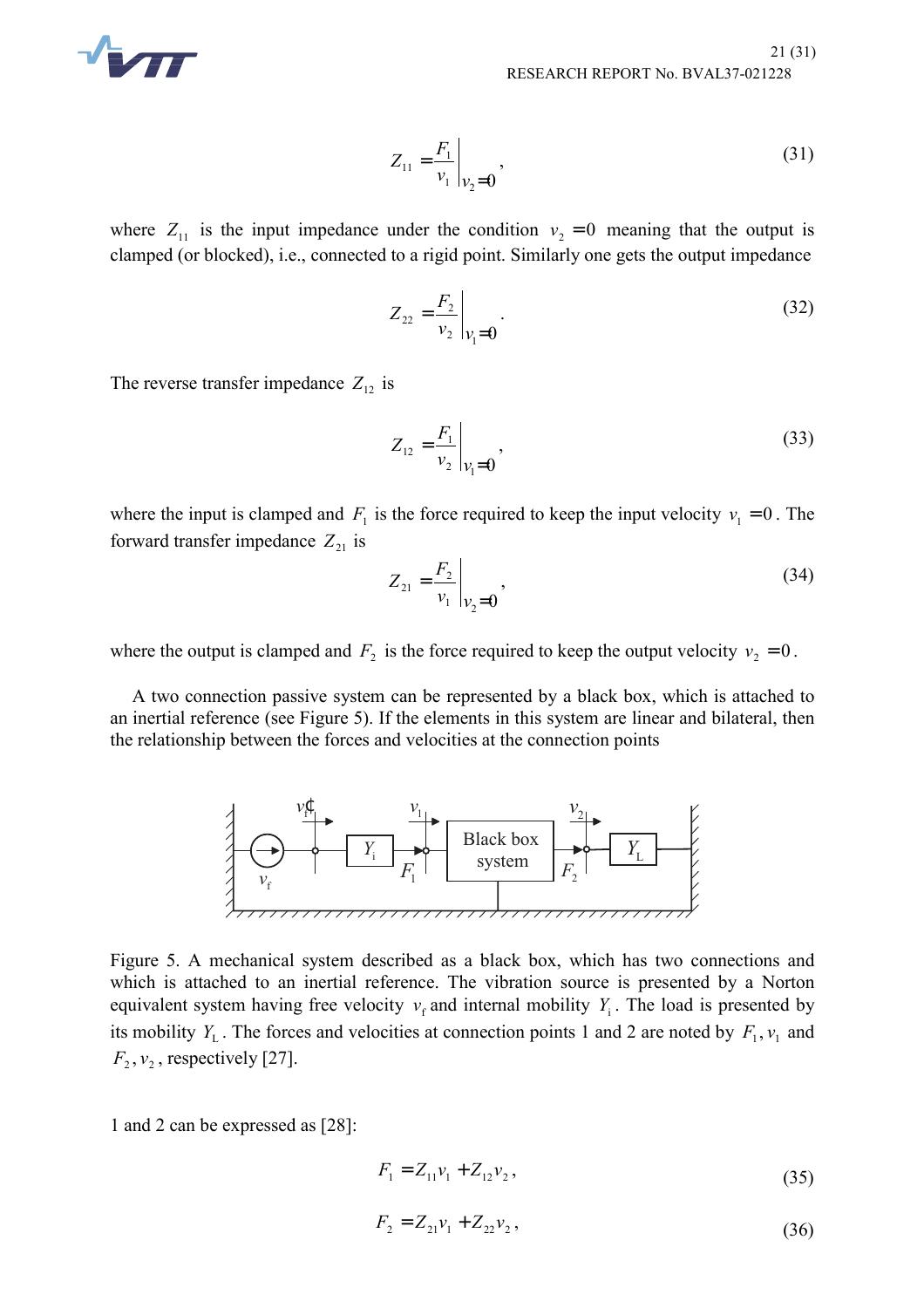

$$
Z_{11} = \frac{F_1}{v_1}\Big|_{v_2 = 0},
$$
\n(31)

where  $Z_{11}$  is the input impedance under the condition  $v_2 = 0$  meaning that the output is clamped (or blocked), i.e., connected to a rigid point. Similarly one gets the output impedance

$$
Z_{22} = \frac{F_2}{v_2}\bigg|_{v_1 = 0}.
$$
 (32)

The reverse transfer impedance  $Z_{12}$  is

$$
Z_{12} = \frac{F_1}{v_2}\bigg|_{v_1 = 0},
$$
\n(33)

where the input is clamped and  $F_1$  is the force required to keep the input velocity  $v_1 = 0$ . The forward transfer impedance  $Z_{21}$  is

$$
Z_{21} = \frac{F_2}{v_1}\bigg|_{v_2 = 0},\tag{34}
$$

where the output is clamped and  $F_2$  is the force required to keep the output velocity  $v_2 = 0$ .

A two connection passive system can be represented by a black box, which is attached to an inertial reference (see Figure 5). If the elements in this system are linear and bilateral, then the relationship between the forces and velocities at the connection points



Figure 5. A mechanical system described as a black box, which has two connections and which is attached to an inertial reference. The vibration source is presented by a Norton equivalent system having free velocity  $v_f$  and internal mobility  $Y_i$ . The load is presented by its mobility  $Y_L$ . The forces and velocities at connection points 1 and 2 are noted by  $F_1$ ,  $v_1$  and  $F_2, v_2$ , respectively [27].

1 and 2 can be expressed as [28]:

$$
F_1 = Z_{11}v_1 + Z_{12}v_2, \tag{35}
$$

$$
F_2 = Z_{21}v_1 + Z_{22}v_2, \tag{36}
$$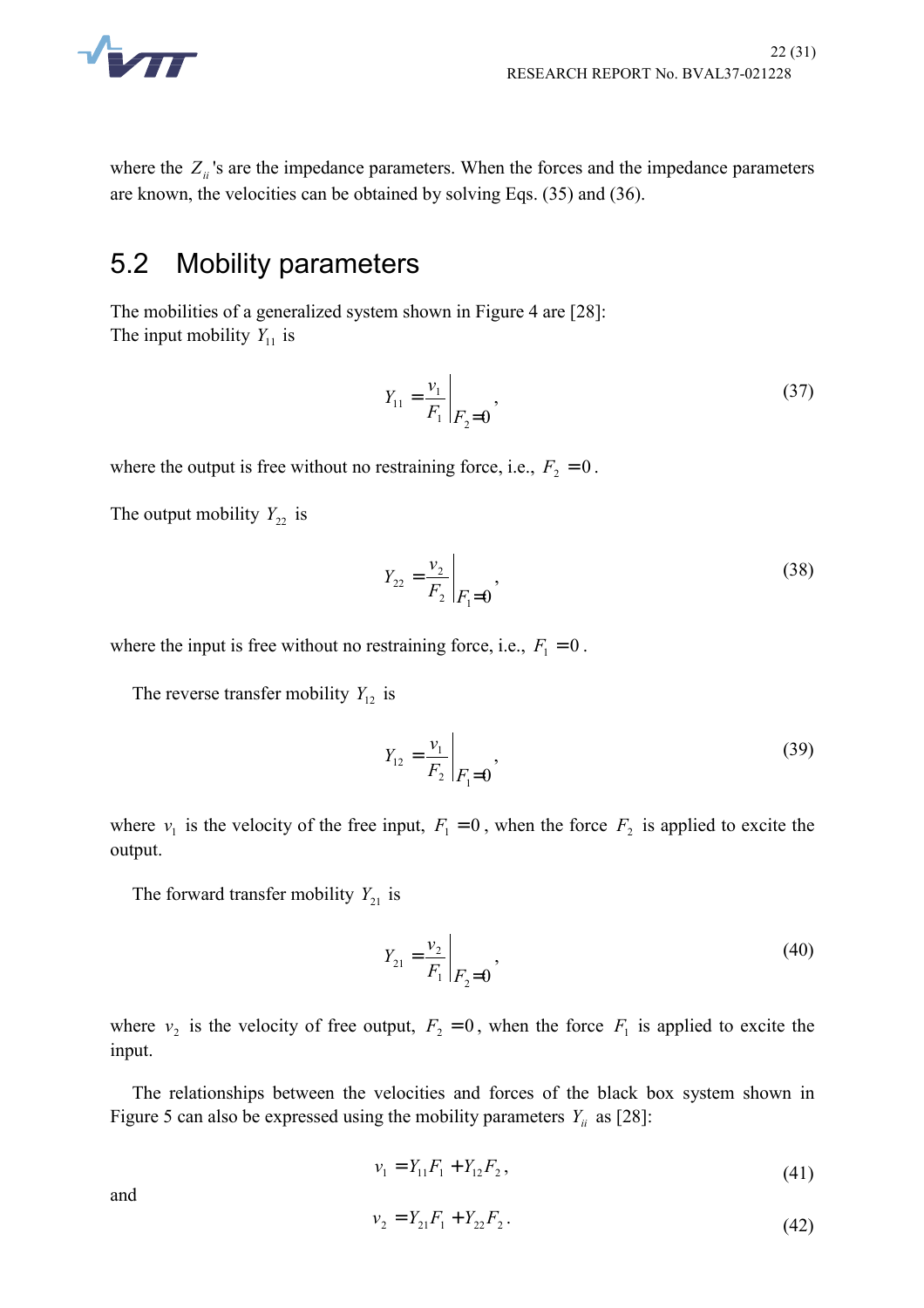

where the  $Z_{ii}$ 's are the impedance parameters. When the forces and the impedance parameters are known, the velocities can be obtained by solving Eqs. (35) and (36).

### 5.2 Mobility parameters

The mobilities of a generalized system shown in Figure 4 are [28]: The input mobility  $Y_{11}$  is

$$
Y_{11} = \frac{v_1}{F_1} \bigg|_{F_2 = 0},\tag{37}
$$

where the output is free without no restraining force, i.e.,  $F_2 = 0$ .

The output mobility  $Y_{22}$  is

$$
Y_{22} = \frac{v_2}{F_2} \bigg|_{F_1 = 0},\tag{38}
$$

where the input is free without no restraining force, i.e.,  $F_1 = 0$ .

The reverse transfer mobility  $Y_{12}$  is

$$
Y_{12} = \frac{v_1}{F_2} \bigg|_{F_1 = 0},\tag{39}
$$

where  $v_1$  is the velocity of the free input,  $F_1 = 0$ , when the force  $F_2$  is applied to excite the output.

The forward transfer mobility  $Y_{21}$  is

$$
Y_{21} = \frac{v_2}{F_1} \bigg|_{F_2 = 0},\tag{40}
$$

where  $v_2$  is the velocity of free output,  $F_2 = 0$ , when the force  $F_1$  is applied to excite the input.

The relationships between the velocities and forces of the black box system shown in Figure 5 can also be expressed using the mobility parameters  $Y_{ii}$  as [28]:

$$
v_1 = Y_{11}F_1 + Y_{12}F_2, \tag{41}
$$

and

$$
v_2 = Y_{21}F_1 + Y_{22}F_2. \tag{42}
$$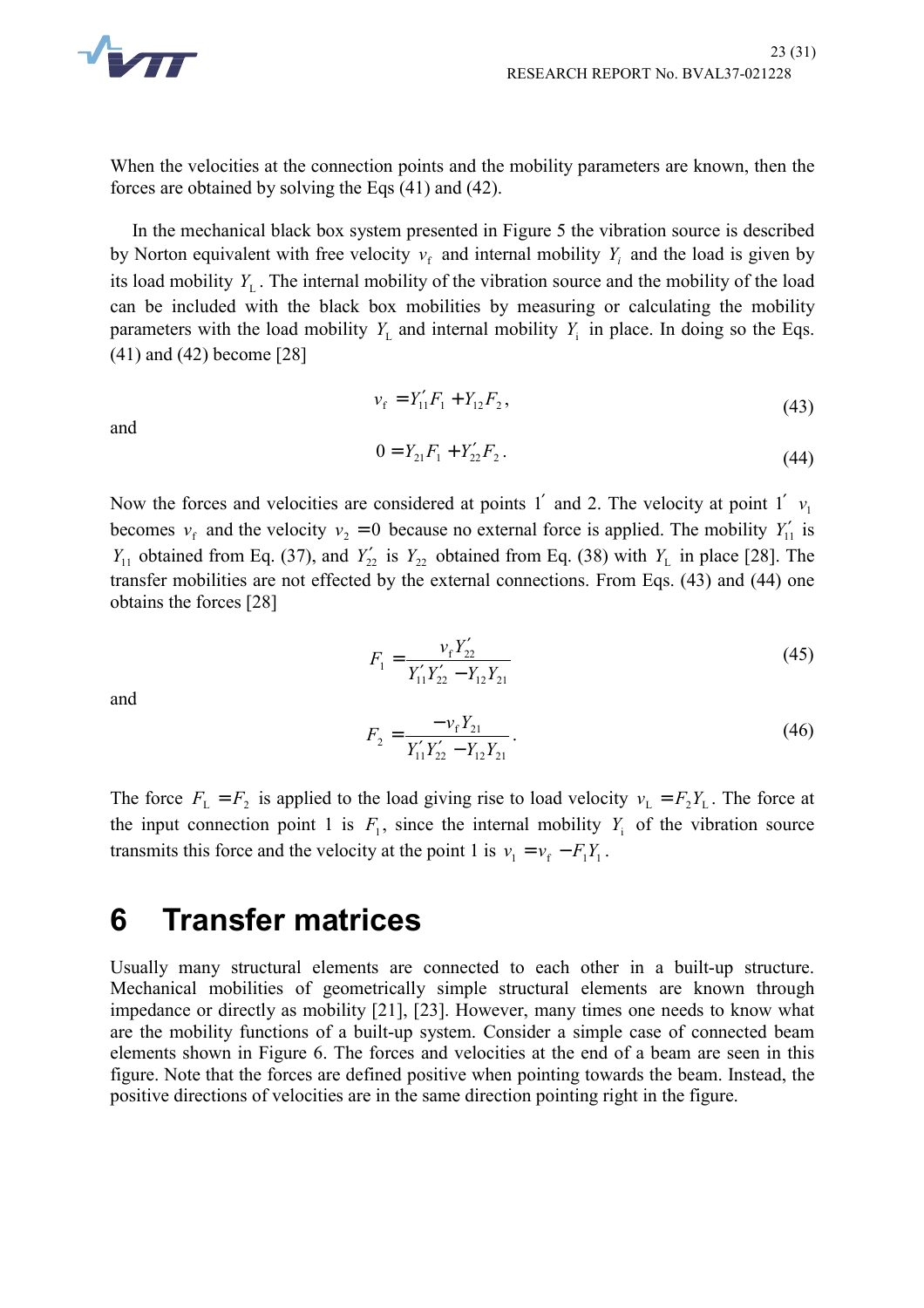

When the velocities at the connection points and the mobility parameters are known, then the forces are obtained by solving the Eqs (41) and (42).

In the mechanical black box system presented in Figure 5 the vibration source is described by Norton equivalent with free velocity  $v_f$  and internal mobility  $Y_i$  and the load is given by its load mobility  $Y_L$ . The internal mobility of the vibration source and the mobility of the load can be included with the black box mobilities by measuring or calculating the mobility parameters with the load mobility  $Y_L$  and internal mobility  $Y_i$  in place. In doing so the Eqs. (41) and (42) become [28]

and

$$
v_{\rm f} = Y_{11}' F_1 + Y_{12} F_2, \tag{43}
$$

$$
0 = Y_{21}F_1 + Y_{22}'F_2. \tag{44}
$$

Now the forces and velocities are considered at points 1' and 2. The velocity at point 1'  $v_1$ becomes  $v_f$  and the velocity  $v_2 = 0$  because no external force is applied. The mobility  $Y'_{11}$  is *Y*<sub>11</sub> obtained from Eq. (37), and *Y*<sub>22</sub><sup>'</sup> is *Y*<sub>22</sub><sup>'</sup> obtained from Eq. (38) with *Y*<sub>L</sub> in place [28]. The transfer mobilities are not effected by the external connections. From Eqs. (43) and (44) one obtains the forces [28]

$$
F_1 = \frac{v_f Y_{22}'}{Y_{11}' Y_{22}' - Y_{12} Y_{21}}\tag{45}
$$

and

$$
F_2 = \frac{-v_f Y_{21}}{Y_{11}' Y_{22}' - Y_{12} Y_{21}}.
$$
\n(46)

The force  $F_L = F_2$  is applied to the load giving rise to load velocity  $v_L = F_2 Y_L$ . The force at the input connection point 1 is  $F_1$ , since the internal mobility  $Y_i$  of the vibration source transmits this force and the velocity at the point 1 is  $v_1 = v_f - F_1 Y_1$ .

## **6 Transfer matrices**

Usually many structural elements are connected to each other in a built-up structure. Mechanical mobilities of geometrically simple structural elements are known through impedance or directly as mobility [21], [23]. However, many times one needs to know what are the mobility functions of a built-up system. Consider a simple case of connected beam elements shown in Figure 6. The forces and velocities at the end of a beam are seen in this figure. Note that the forces are defined positive when pointing towards the beam. Instead, the positive directions of velocities are in the same direction pointing right in the figure.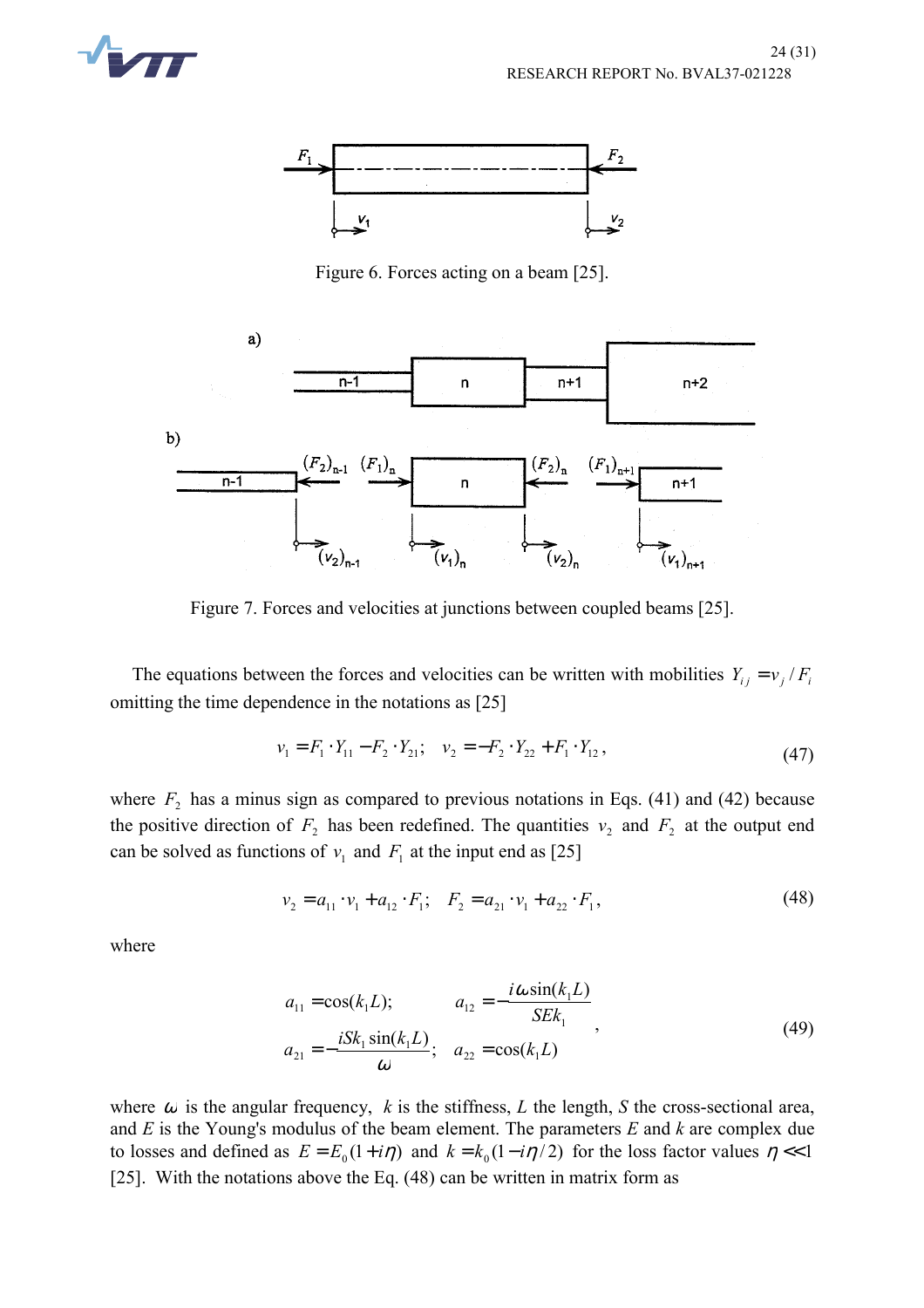



Figure 6. Forces acting on a beam [25].



Figure 7. Forces and velocities at junctions between coupled beams [25].

The equations between the forces and velocities can be written with mobilities  $Y_{ij} = v_j / F_i$ omitting the time dependence in the notations as [25]

$$
v_1 = F_1 \cdot Y_{11} - F_2 \cdot Y_{21}; \quad v_2 = -F_2 \cdot Y_{22} + F_1 \cdot Y_{12}, \tag{47}
$$

where  $F_2$  has a minus sign as compared to previous notations in Eqs. (41) and (42) because the positive direction of  $F_2$  has been redefined. The quantities  $v_2$  and  $F_2$  at the output end can be solved as functions of  $v_1$  and  $F_1$  at the input end as [25]

$$
v_2 = a_{11} \cdot v_1 + a_{12} \cdot F_1; \quad F_2 = a_{21} \cdot v_1 + a_{22} \cdot F_1,\tag{48}
$$

where

$$
a_{11} = \cos(k_1 L); \qquad a_{12} = -\frac{i\omega \sin(k_1 L)}{SEk_1} a_{21} = -\frac{iSk_1 \sin(k_1 L)}{\omega}; \quad a_{22} = \cos(k_1 L)
$$
\n(49)

where  $\omega$  is the angular frequency,  $k$  is the stiffness,  $L$  the length,  $S$  the cross-sectional area, and *E* is the Young's modulus of the beam element. The parameters *E* and *k* are complex due to losses and defined as  $E = E_0(1 + i\eta)$  and  $k = k_0(1 - i\eta/2)$  for the loss factor values  $\eta \ll 1$ [25]. With the notations above the Eq. (48) can be written in matrix form as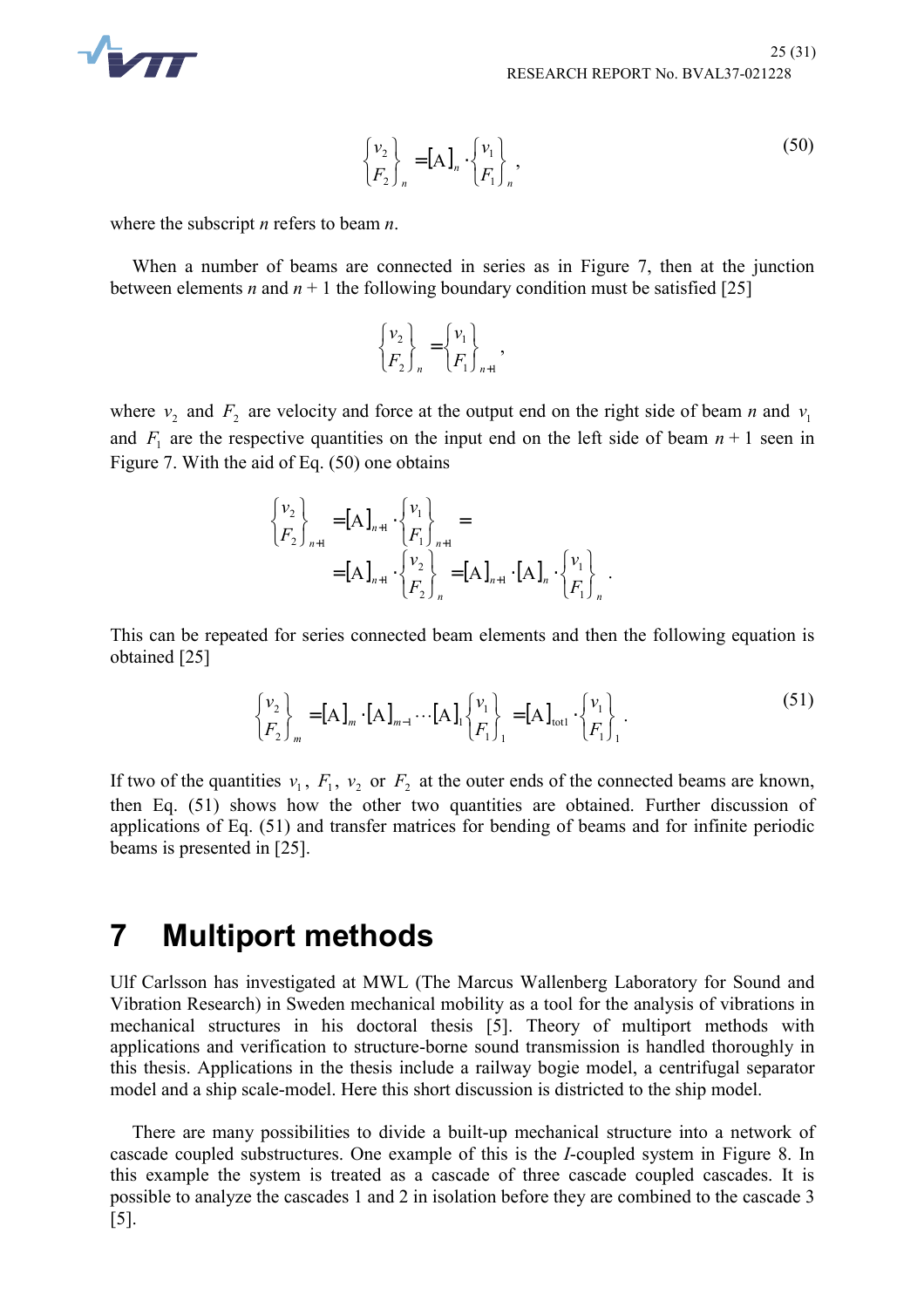

$$
\begin{Bmatrix} v_2 \\ F_2 \end{Bmatrix}_n = [A]_n \cdot \begin{Bmatrix} v_1 \\ F_1 \end{Bmatrix}_n,
$$
\n(50)

where the subscript *n* refers to beam *n*.

When a number of beams are connected in series as in Figure 7, then at the junction between elements *n* and  $n + 1$  the following boundary condition must be satisfied [25]

$$
\begin{Bmatrix} \nu_2 \\ F_2 \end{Bmatrix}_n = \begin{Bmatrix} \nu_1 \\ F_1 \end{Bmatrix}_{n+1},
$$

where  $v_2$  and  $F_2$  are velocity and force at the output end on the right side of beam *n* and  $v_1$ and  $F_1$  are the respective quantities on the input end on the left side of beam  $n + 1$  seen in Figure 7. With the aid of Eq. (50) one obtains

$$
\begin{aligned}\n\begin{Bmatrix} v_2 \\ F_2 \end{Bmatrix}_{n+1} &= [A]_{n+1} \cdot \begin{Bmatrix} v_1 \\ F_1 \end{Bmatrix}_{n+1} = \\
&= [A]_{n+1} \cdot \begin{Bmatrix} v_2 \\ F_2 \end{Bmatrix}_n = [A]_{n+1} \cdot [A]_n \cdot \begin{Bmatrix} v_1 \\ F_1 \end{Bmatrix}_n.\n\end{aligned}
$$

This can be repeated for series connected beam elements and then the following equation is obtained [25]

$$
\begin{Bmatrix} v_2 \\ F_2 \end{Bmatrix}_m = [A]_m \cdot [A]_{m-1} \cdots [A]_1 \begin{Bmatrix} v_1 \\ F_1 \end{Bmatrix}_1 = [A]_{\text{tot1}} \cdot \begin{Bmatrix} v_1 \\ F_1 \end{Bmatrix}_1.
$$
 (51)

If two of the quantities  $v_1$ ,  $F_1$ ,  $v_2$  or  $F_2$  at the outer ends of the connected beams are known, then Eq. (51) shows how the other two quantities are obtained. Further discussion of applications of Eq. (51) and transfer matrices for bending of beams and for infinite periodic beams is presented in [25].

## **7 Multiport methods**

Ulf Carlsson has investigated at MWL (The Marcus Wallenberg Laboratory for Sound and Vibration Research) in Sweden mechanical mobility as a tool for the analysis of vibrations in mechanical structures in his doctoral thesis [5]. Theory of multiport methods with applications and verification to structure-borne sound transmission is handled thoroughly in this thesis. Applications in the thesis include a railway bogie model, a centrifugal separator model and a ship scale-model. Here this short discussion is districted to the ship model.

There are many possibilities to divide a built-up mechanical structure into a network of cascade coupled substructures. One example of this is the *I*-coupled system in Figure 8. In this example the system is treated as a cascade of three cascade coupled cascades. It is possible to analyze the cascades 1 and 2 in isolation before they are combined to the cascade 3 [5].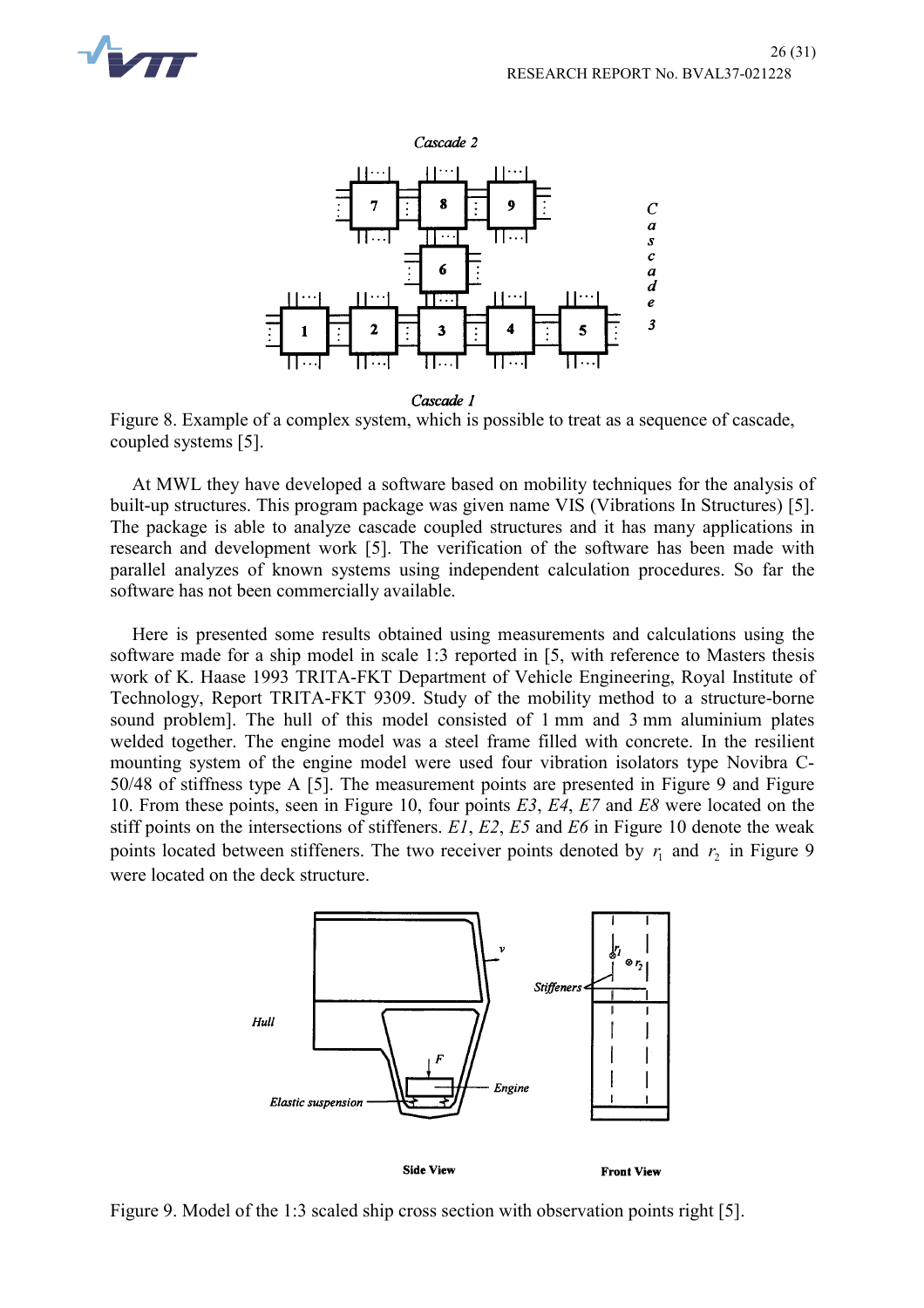



Cascade 1

Figure 8. Example of a complex system, which is possible to treat as a sequence of cascade, coupled systems [5].

At MWL they have developed a software based on mobility techniques for the analysis of built-up structures. This program package was given name VIS (Vibrations In Structures) [5]. The package is able to analyze cascade coupled structures and it has many applications in research and development work [5]. The verification of the software has been made with parallel analyzes of known systems using independent calculation procedures. So far the software has not been commercially available.

Here is presented some results obtained using measurements and calculations using the software made for a ship model in scale 1:3 reported in [5, with reference to Masters thesis work of K. Haase 1993 TRITA-FKT Department of Vehicle Engineering, Royal Institute of Technology, Report TRITA-FKT 9309. Study of the mobility method to a structure-borne sound problem]. The hull of this model consisted of 1 mm and 3 mm aluminium plates welded together. The engine model was a steel frame filled with concrete. In the resilient mounting system of the engine model were used four vibration isolators type Novibra C-50/48 of stiffness type A [5]. The measurement points are presented in Figure 9 and Figure 10. From these points, seen in Figure 10, four points *E3*, *E4*, *E7* and *E8* were located on the stiff points on the intersections of stiffeners. *E1*, *E2*, *E5* and *E6* in Figure 10 denote the weak points located between stiffeners. The two receiver points denoted by  $r_i$  and  $r_2$  in Figure 9 were located on the deck structure.



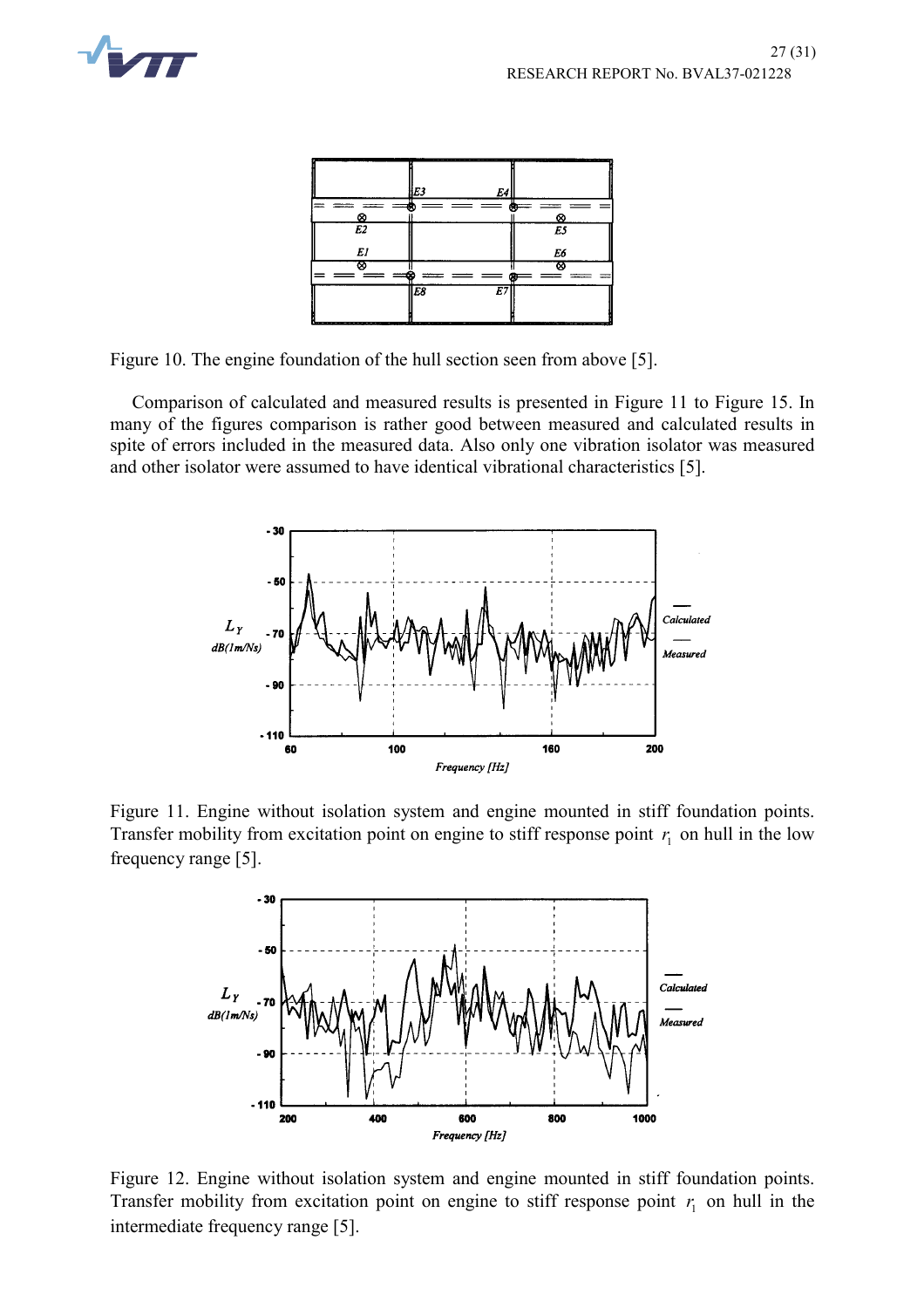



Figure 10. The engine foundation of the hull section seen from above [5].

Comparison of calculated and measured results is presented in Figure 11 to Figure 15. In many of the figures comparison is rather good between measured and calculated results in spite of errors included in the measured data. Also only one vibration isolator was measured and other isolator were assumed to have identical vibrational characteristics [5].



Figure 11. Engine without isolation system and engine mounted in stiff foundation points. Transfer mobility from excitation point on engine to stiff response point  $r_1$  on hull in the low frequency range [5].



Figure 12. Engine without isolation system and engine mounted in stiff foundation points. Transfer mobility from excitation point on engine to stiff response point  $r_1$  on hull in the intermediate frequency range [5].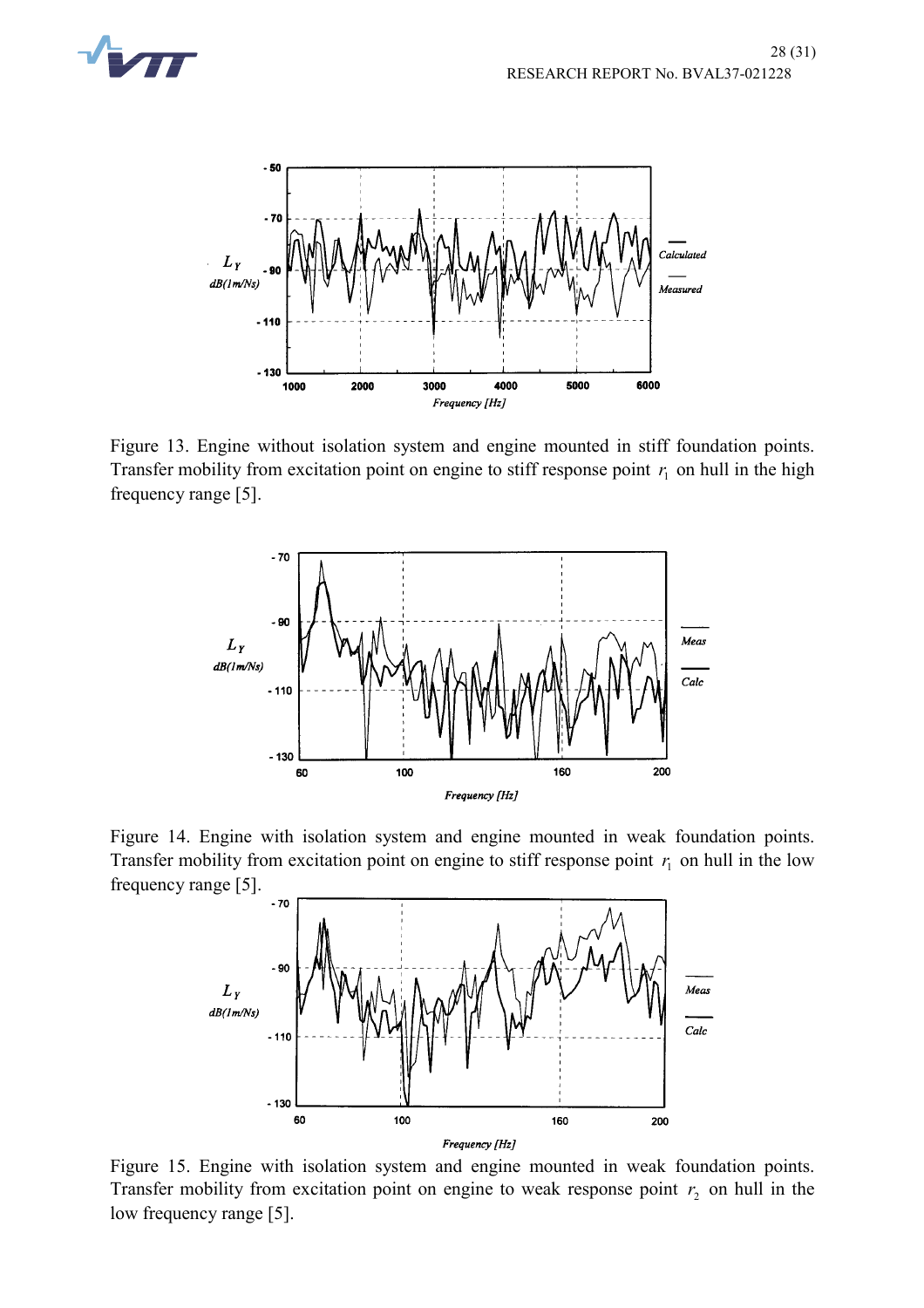



Figure 13. Engine without isolation system and engine mounted in stiff foundation points. Transfer mobility from excitation point on engine to stiff response point  $r<sub>i</sub>$  on hull in the high frequency range [5].



Figure 14. Engine with isolation system and engine mounted in weak foundation points. Transfer mobility from excitation point on engine to stiff response point  $r_1$  on hull in the low frequency range [5].



Figure 15. Engine with isolation system and engine mounted in weak foundation points. Transfer mobility from excitation point on engine to weak response point  $r<sub>2</sub>$  on hull in the low frequency range [5].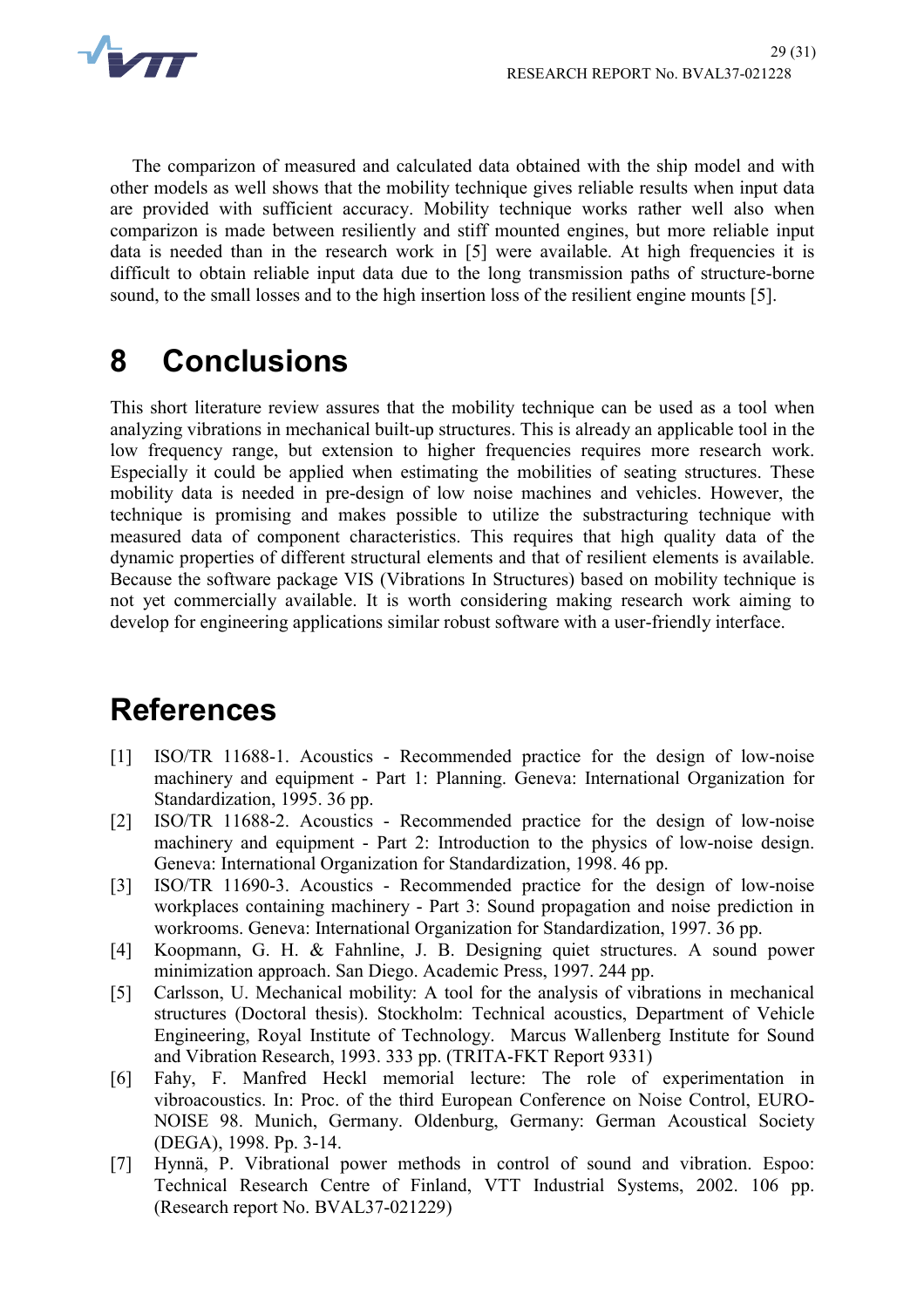

The comparizon of measured and calculated data obtained with the ship model and with other models as well shows that the mobility technique gives reliable results when input data are provided with sufficient accuracy. Mobility technique works rather well also when comparizon is made between resiliently and stiff mounted engines, but more reliable input data is needed than in the research work in [5] were available. At high frequencies it is difficult to obtain reliable input data due to the long transmission paths of structure-borne sound, to the small losses and to the high insertion loss of the resilient engine mounts [5].

# **8 Conclusions**

This short literature review assures that the mobility technique can be used as a tool when analyzing vibrations in mechanical built-up structures. This is already an applicable tool in the low frequency range, but extension to higher frequencies requires more research work. Especially it could be applied when estimating the mobilities of seating structures. These mobility data is needed in pre-design of low noise machines and vehicles. However, the technique is promising and makes possible to utilize the substracturing technique with measured data of component characteristics. This requires that high quality data of the dynamic properties of different structural elements and that of resilient elements is available. Because the software package VIS (Vibrations In Structures) based on mobility technique is not yet commercially available. It is worth considering making research work aiming to develop for engineering applications similar robust software with a user-friendly interface.

# **References**

- [1] ISO/TR 11688-1. Acoustics Recommended practice for the design of low-noise machinery and equipment - Part 1: Planning. Geneva: International Organization for Standardization, 1995. 36 pp.
- [2] ISO/TR 11688-2. Acoustics Recommended practice for the design of low-noise machinery and equipment - Part 2: Introduction to the physics of low-noise design. Geneva: International Organization for Standardization, 1998. 46 pp.
- [3] ISO/TR 11690-3. Acoustics Recommended practice for the design of low-noise workplaces containing machinery - Part 3: Sound propagation and noise prediction in workrooms. Geneva: International Organization for Standardization, 1997. 36 pp.
- [4] Koopmann, G. H. & Fahnline, J. B. Designing quiet structures. A sound power minimization approach. San Diego. Academic Press, 1997. 244 pp.
- [5] Carlsson, U. Mechanical mobility: A tool for the analysis of vibrations in mechanical structures (Doctoral thesis). Stockholm: Technical acoustics, Department of Vehicle Engineering, Royal Institute of Technology. Marcus Wallenberg Institute for Sound and Vibration Research, 1993. 333 pp. (TRITA-FKT Report 9331)
- [6] Fahy, F. Manfred Heckl memorial lecture: The role of experimentation in vibroacoustics. In: Proc. of the third European Conference on Noise Control, EURO-NOISE 98. Munich, Germany. Oldenburg, Germany: German Acoustical Society (DEGA), 1998. Pp. 3-14.
- [7] Hynnä, P. Vibrational power methods in control of sound and vibration. Espoo: Technical Research Centre of Finland, VTT Industrial Systems, 2002. 106 pp. (Research report No. BVAL37-021229)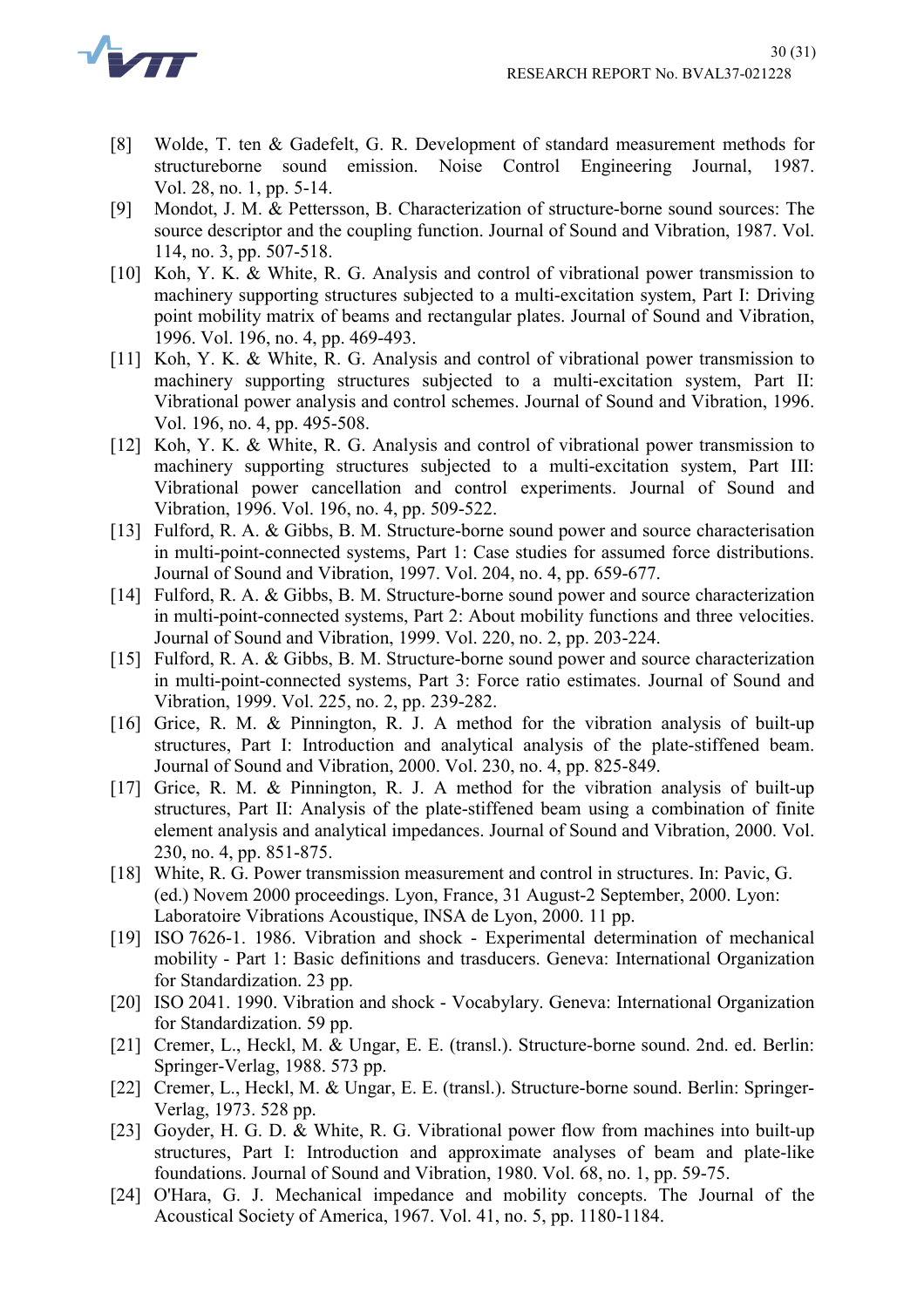

- [8] Wolde, T. ten & Gadefelt, G. R. Development of standard measurement methods for structureborne sound emission. Noise Control Engineering Journal, 1987. Vol. 28, no. 1, pp. 5-14.
- [9] Mondot, J. M. & Pettersson, B. Characterization of structure-borne sound sources: The source descriptor and the coupling function. Journal of Sound and Vibration, 1987. Vol. 114, no. 3, pp. 507-518.
- [10] Koh, Y. K. & White, R. G. Analysis and control of vibrational power transmission to machinery supporting structures subjected to a multi-excitation system, Part I: Driving point mobility matrix of beams and rectangular plates. Journal of Sound and Vibration, 1996. Vol. 196, no. 4, pp. 469-493.
- [11] Koh, Y. K. & White, R. G. Analysis and control of vibrational power transmission to machinery supporting structures subjected to a multi-excitation system, Part II: Vibrational power analysis and control schemes. Journal of Sound and Vibration, 1996. Vol. 196, no. 4, pp. 495-508.
- [12] Koh, Y. K. & White, R. G. Analysis and control of vibrational power transmission to machinery supporting structures subjected to a multi-excitation system, Part III: Vibrational power cancellation and control experiments. Journal of Sound and Vibration, 1996. Vol. 196, no. 4, pp. 509-522.
- [13] Fulford, R. A. & Gibbs, B. M. Structure-borne sound power and source characterisation in multi-point-connected systems, Part 1: Case studies for assumed force distributions. Journal of Sound and Vibration, 1997. Vol. 204, no. 4, pp. 659-677.
- [14] Fulford, R. A. & Gibbs, B. M. Structure-borne sound power and source characterization in multi-point-connected systems, Part 2: About mobility functions and three velocities. Journal of Sound and Vibration, 1999. Vol. 220, no. 2, pp. 203-224.
- [15] Fulford, R. A. & Gibbs, B. M. Structure-borne sound power and source characterization in multi-point-connected systems, Part 3: Force ratio estimates. Journal of Sound and Vibration, 1999. Vol. 225, no. 2, pp. 239-282.
- [16] Grice, R. M. & Pinnington, R. J. A method for the vibration analysis of built-up structures, Part I: Introduction and analytical analysis of the plate-stiffened beam. Journal of Sound and Vibration, 2000. Vol. 230, no. 4, pp. 825-849.
- [17] Grice, R. M. & Pinnington, R. J. A method for the vibration analysis of built-up structures, Part II: Analysis of the plate-stiffened beam using a combination of finite element analysis and analytical impedances. Journal of Sound and Vibration, 2000. Vol. 230, no. 4, pp. 851-875.
- [18] White, R. G. Power transmission measurement and control in structures. In: Pavic, G. (ed.) Novem 2000 proceedings. Lyon, France, 31 August-2 September, 2000. Lyon: Laboratoire Vibrations Acoustique, INSA de Lyon, 2000. 11 pp.
- [19] ISO 7626-1. 1986. Vibration and shock Experimental determination of mechanical mobility - Part 1: Basic definitions and trasducers. Geneva: International Organization for Standardization. 23 pp.
- [20] ISO 2041. 1990. Vibration and shock Vocabylary. Geneva: International Organization for Standardization. 59 pp.
- [21] Cremer, L., Heckl, M. & Ungar, E. E. (transl.). Structure-borne sound. 2nd. ed. Berlin: Springer-Verlag, 1988. 573 pp.
- [22] Cremer, L., Heckl, M. & Ungar, E. E. (transl.). Structure-borne sound. Berlin: Springer-Verlag, 1973. 528 pp.
- [23] Goyder, H. G. D. & White, R. G. Vibrational power flow from machines into built-up structures, Part I: Introduction and approximate analyses of beam and plate-like foundations. Journal of Sound and Vibration, 1980. Vol. 68, no. 1, pp. 59-75.
- [24] O'Hara, G. J. Mechanical impedance and mobility concepts. The Journal of the Acoustical Society of America, 1967. Vol. 41, no. 5, pp. 1180-1184.